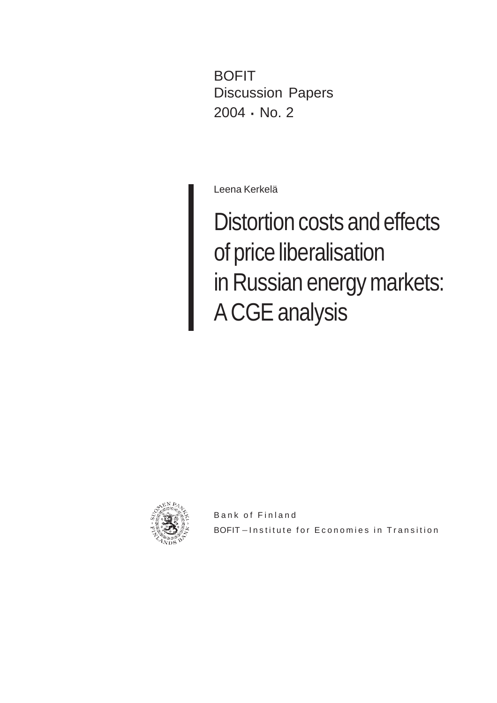BOFIT Discussion Papers 2004 · No. 2

Leena Kerkelä

Distortion costs and effects of price liberalisation in Russian energy markets: A CGE analysis



Bank of Finland BOFIT-Institute for Economies in Transition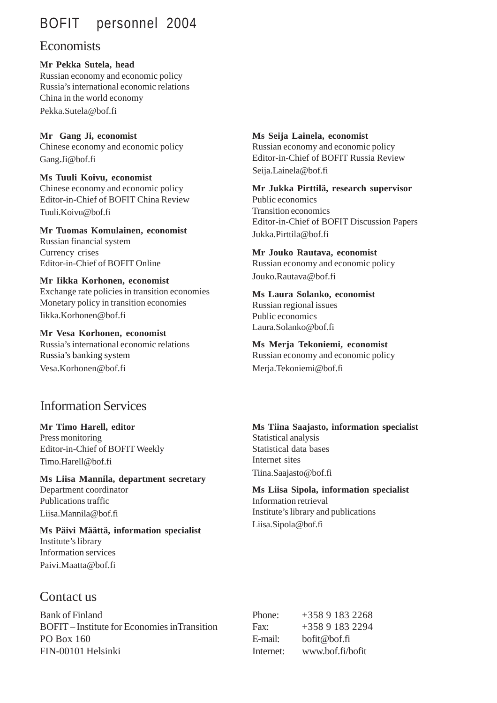## BOFIT personnel 2004

### **Economists**

**Mr Pekka Sutela, head** Russian economy and economic policy Russia's international economic relations China in the world economy Pekka.Sutela@bof.fi

**Mr Gang Ji, economist** Chinese economy and economic policy Gang.Ji@bof.fi

**Ms Tuuli Koivu, economist** Chinese economy and economic policy Editor-in-Chief of BOFIT China Review Tuuli.Koivu@bof.fi

**Mr Tuomas Komulainen, economist** Russian financial system Currency crises Editor-in-Chief of BOFIT Online

#### **Mr Iikka Korhonen, economist**

Exchange rate policies in transition economies Monetary policy in transition economies Iikka.Korhonen@bof.fi

**Mr Vesa Korhonen, economist** Russia's international economic relations Russia's banking system Vesa.Korhonen@bof.fi

### Information Services

#### **Mr Timo Harell, editor**

Press monitoring Editor-in-Chief of BOFIT Weekly Timo.Harell@bof.fi

**Ms Liisa Mannila, department secretary** Department coordinator Publications traffic

Liisa.Mannila@bof.fi **Ms Päivi Määttä, information specialist** Institute's library Information services Paivi.Maatta@bof.fi

#### **Ms Seija Lainela, economist**

Russian economy and economic policy Editor-in-Chief of BOFIT Russia Review Seija.Lainela@bof.fi

**Mr Jukka Pirttilä, research supervisor** Public economics Transition economics Editor-in-Chief of BOFIT Discussion Papers Jukka.Pirttila@bof.fi

**Mr Jouko Rautava, economist**

Russian economy and economic policy Jouko.Rautava@bof.fi

#### **Ms Laura Solanko, economist**

Russian regional issues Public economics Laura.Solanko@bof.fi

**Ms Merja Tekoniemi, economist** Russian economy and economic policy Merja.Tekoniemi@bof.fi

**Ms Tiina Saajasto, information specialist** Statistical analysis Statistical data bases Internet sites Tiina.Saajasto@bof.fi

**Ms Liisa Sipola, information specialist** Information retrieval Institute's library and publications Liisa.Sipola@bof.fi

Contact us

Bank of Finland BOFIT – Institute for Economies inTransition PO Box 160 FIN-00101 Helsinki

Phone: +358 9 183 2268 Fax:  $+35891832294$ E-mail: bofit@bof.fi Internet: www.bof.fi/bofit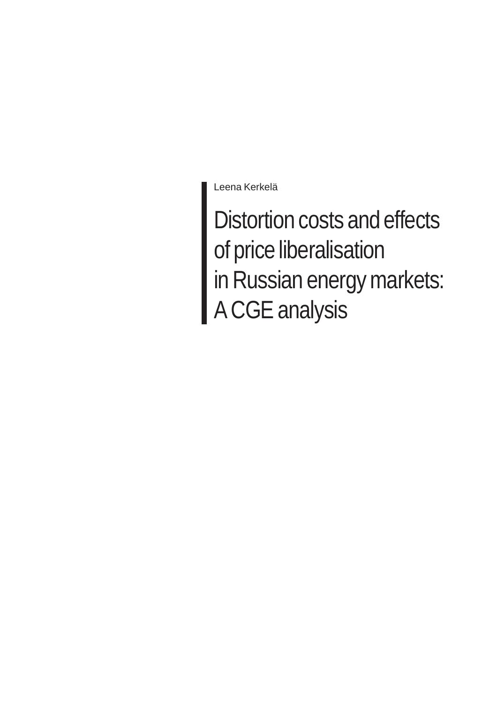Leena Kerkelä

Distortion costs and effects of price liberalisation in Russian energy markets: A CGE analysis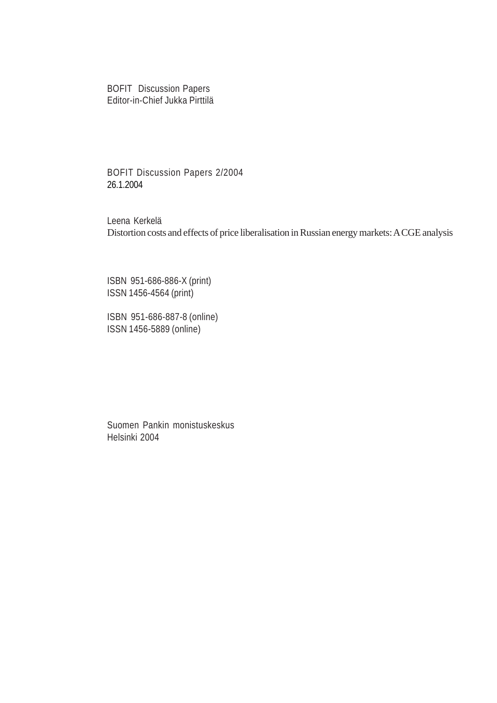BOFIT Discussion Papers Editor-in-Chief Jukka Pirttilä

BOFIT Discussion Papers 2/2004 26.1.2004

Leena Kerkelä Distortion costs and effects of price liberalisation in Russian energy markets: A CGE analysis

ISBN 951-686-886-X (print) ISSN 1456-4564 (print)

ISBN 951-686-887-8 (online) ISSN 1456-5889 (online)

Suomen Pankin monistuskeskus Helsinki 2004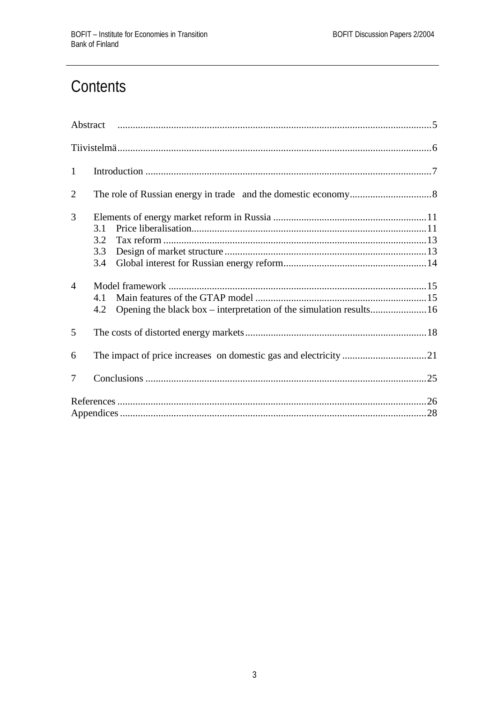# Contents

| $\mathbf{1}$   |                          |
|----------------|--------------------------|
| $\overline{2}$ |                          |
| 3              | 3.1<br>3.2<br>3.3<br>3.4 |
| $\overline{4}$ | 4.1<br>4.2               |
| 5              |                          |
| 6              |                          |
| 7              |                          |
|                |                          |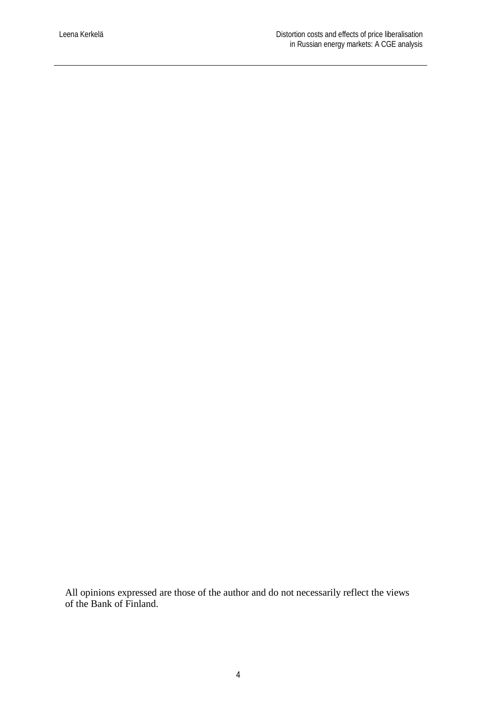All opinions expressed are those of the author and do not necessarily reflect the views of the Bank of Finland.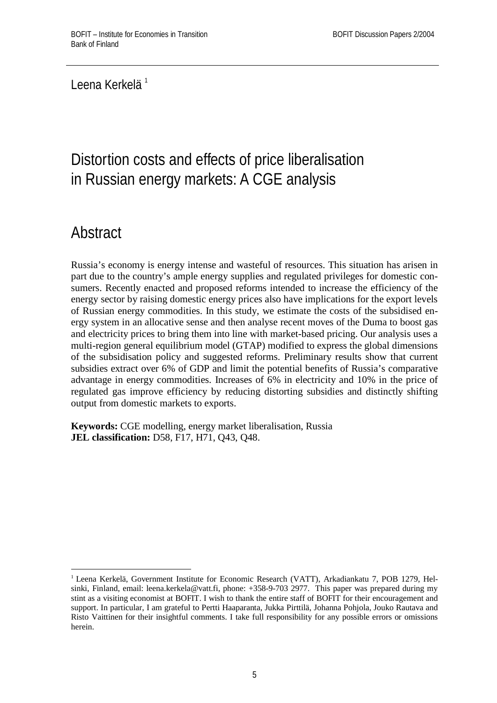Leena Kerkelä<sup>1</sup>

# Distortion costs and effects of price liberalisation in Russian energy markets: A CGE analysis

# **Abstract**

<u>.</u>

Russia's economy is energy intense and wasteful of resources. This situation has arisen in part due to the country's ample energy supplies and regulated privileges for domestic consumers. Recently enacted and proposed reforms intended to increase the efficiency of the energy sector by raising domestic energy prices also have implications for the export levels of Russian energy commodities. In this study, we estimate the costs of the subsidised energy system in an allocative sense and then analyse recent moves of the Duma to boost gas and electricity prices to bring them into line with market-based pricing. Our analysis uses a multi-region general equilibrium model (GTAP) modified to express the global dimensions of the subsidisation policy and suggested reforms. Preliminary results show that current subsidies extract over 6% of GDP and limit the potential benefits of Russia's comparative advantage in energy commodities. Increases of 6% in electricity and 10% in the price of regulated gas improve efficiency by reducing distorting subsidies and distinctly shifting output from domestic markets to exports.

**Keywords:** CGE modelling, energy market liberalisation, Russia **JEL classification:** D58, F17, H71, Q43, Q48.

<sup>1</sup> Leena Kerkelä, Government Institute for Economic Research (VATT), Arkadiankatu 7, POB 1279, Helsinki, Finland, email: leena.kerkela@vatt.fi, phone: +358-9-703 2977. This paper was prepared during my stint as a visiting economist at BOFIT. I wish to thank the entire staff of BOFIT for their encouragement and support. In particular, I am grateful to Pertti Haaparanta, Jukka Pirttilä, Johanna Pohjola, Jouko Rautava and Risto Vaittinen for their insightful comments. I take full responsibility for any possible errors or omissions herein.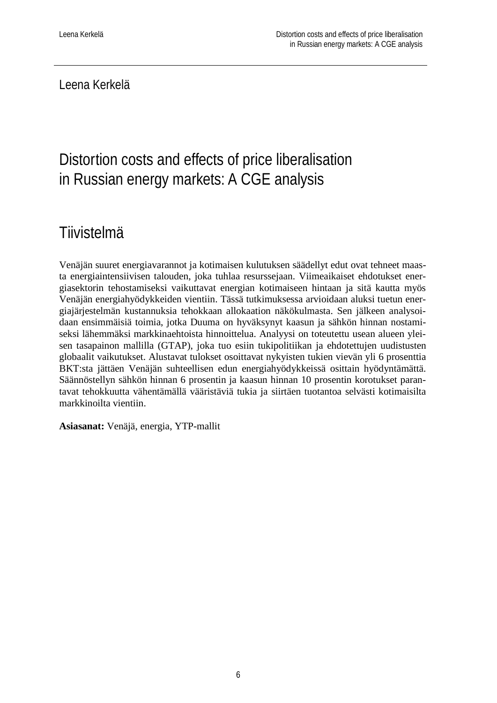Leena Kerkelä

# Distortion costs and effects of price liberalisation in Russian energy markets: A CGE analysis

## **Tiivistelmä**

Venäjän suuret energiavarannot ja kotimaisen kulutuksen säädellyt edut ovat tehneet maasta energiaintensiivisen talouden, joka tuhlaa resurssejaan. Viimeaikaiset ehdotukset energiasektorin tehostamiseksi vaikuttavat energian kotimaiseen hintaan ja sitä kautta myös Venäjän energiahyödykkeiden vientiin. Tässä tutkimuksessa arvioidaan aluksi tuetun energiajärjestelmän kustannuksia tehokkaan allokaation näkökulmasta. Sen jälkeen analysoidaan ensimmäisiä toimia, jotka Duuma on hyväksynyt kaasun ja sähkön hinnan nostamiseksi lähemmäksi markkinaehtoista hinnoittelua. Analyysi on toteutettu usean alueen yleisen tasapainon mallilla (GTAP), joka tuo esiin tukipolitiikan ja ehdotettujen uudistusten globaalit vaikutukset. Alustavat tulokset osoittavat nykyisten tukien vievän yli 6 prosenttia BKT:sta jättäen Venäjän suhteellisen edun energiahyödykkeissä osittain hyödyntämättä. Säännöstellyn sähkön hinnan 6 prosentin ja kaasun hinnan 10 prosentin korotukset parantavat tehokkuutta vähentämällä vääristäviä tukia ja siirtäen tuotantoa selvästi kotimaisilta markkinoilta vientiin.

**Asiasanat:** Venäjä, energia, YTP-mallit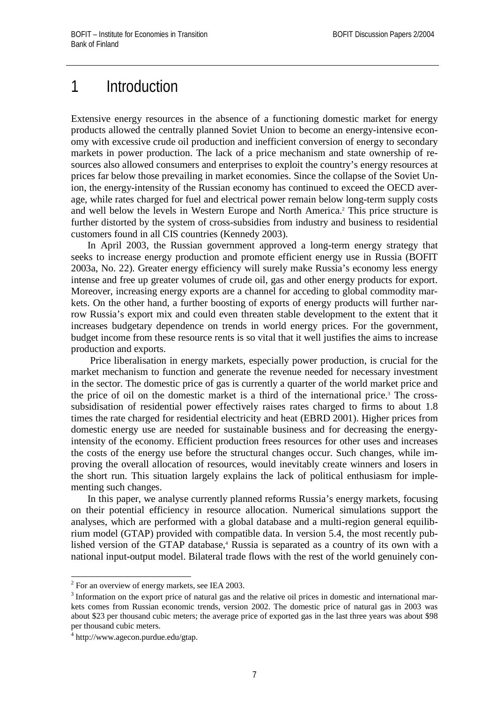### 1 Introduction

Extensive energy resources in the absence of a functioning domestic market for energy products allowed the centrally planned Soviet Union to become an energy-intensive economy with excessive crude oil production and inefficient conversion of energy to secondary markets in power production. The lack of a price mechanism and state ownership of resources also allowed consumers and enterprises to exploit the country's energy resources at prices far below those prevailing in market economies. Since the collapse of the Soviet Union, the energy-intensity of the Russian economy has continued to exceed the OECD average, while rates charged for fuel and electrical power remain below long-term supply costs and well below the levels in Western Europe and North America.<sup>2</sup> This price structure is further distorted by the system of cross-subsidies from industry and business to residential customers found in all CIS countries (Kennedy 2003).

In April 2003, the Russian government approved a long-term energy strategy that seeks to increase energy production and promote efficient energy use in Russia (BOFIT 2003a, No. 22). Greater energy efficiency will surely make Russia's economy less energy intense and free up greater volumes of crude oil, gas and other energy products for export. Moreover, increasing energy exports are a channel for acceding to global commodity markets. On the other hand, a further boosting of exports of energy products will further narrow Russia's export mix and could even threaten stable development to the extent that it increases budgetary dependence on trends in world energy prices. For the government, budget income from these resource rents is so vital that it well justifies the aims to increase production and exports.

 Price liberalisation in energy markets, especially power production, is crucial for the market mechanism to function and generate the revenue needed for necessary investment in the sector. The domestic price of gas is currently a quarter of the world market price and the price of oil on the domestic market is a third of the international price.<sup>3</sup> The crosssubsidisation of residential power effectively raises rates charged to firms to about 1.8 times the rate charged for residential electricity and heat (EBRD 2001). Higher prices from domestic energy use are needed for sustainable business and for decreasing the energyintensity of the economy. Efficient production frees resources for other uses and increases the costs of the energy use before the structural changes occur. Such changes, while improving the overall allocation of resources, would inevitably create winners and losers in the short run. This situation largely explains the lack of political enthusiasm for implementing such changes.

In this paper, we analyse currently planned reforms Russia's energy markets, focusing on their potential efficiency in resource allocation. Numerical simulations support the analyses, which are performed with a global database and a multi-region general equilibrium model (GTAP) provided with compatible data. In version 5.4, the most recently published version of the GTAP database,<sup>4</sup> Russia is separated as a country of its own with a national input-output model. Bilateral trade flows with the rest of the world genuinely con-

<sup>&</sup>lt;sup>2</sup> For an overview of energy markets, see IEA 2003.

<sup>3</sup> Information on the export price of natural gas and the relative oil prices in domestic and international markets comes from Russian economic trends, version 2002. The domestic price of natural gas in 2003 was about \$23 per thousand cubic meters; the average price of exported gas in the last three years was about \$98 per thousand cubic meters.

<sup>4</sup> http://www.agecon.purdue.edu/gtap.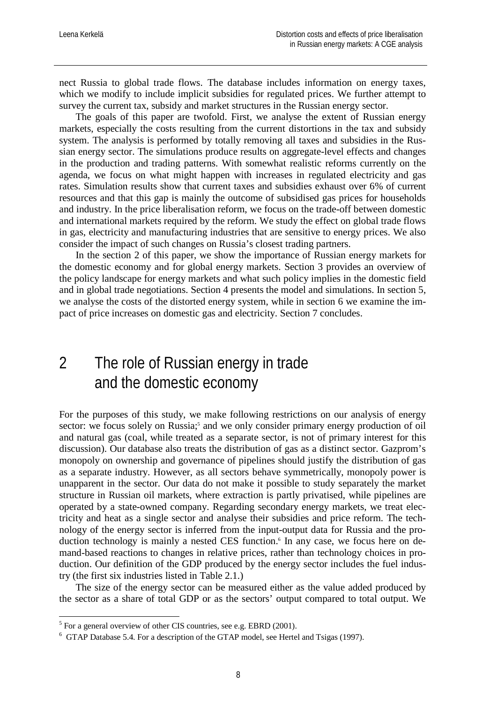nect Russia to global trade flows. The database includes information on energy taxes, which we modify to include implicit subsidies for regulated prices. We further attempt to survey the current tax, subsidy and market structures in the Russian energy sector.

The goals of this paper are twofold. First, we analyse the extent of Russian energy markets, especially the costs resulting from the current distortions in the tax and subsidy system. The analysis is performed by totally removing all taxes and subsidies in the Russian energy sector. The simulations produce results on aggregate-level effects and changes in the production and trading patterns. With somewhat realistic reforms currently on the agenda, we focus on what might happen with increases in regulated electricity and gas rates. Simulation results show that current taxes and subsidies exhaust over 6% of current resources and that this gap is mainly the outcome of subsidised gas prices for households and industry. In the price liberalisation reform, we focus on the trade-off between domestic and international markets required by the reform. We study the effect on global trade flows in gas, electricity and manufacturing industries that are sensitive to energy prices. We also consider the impact of such changes on Russia's closest trading partners.

In the section 2 of this paper, we show the importance of Russian energy markets for the domestic economy and for global energy markets. Section 3 provides an overview of the policy landscape for energy markets and what such policy implies in the domestic field and in global trade negotiations. Section 4 presents the model and simulations. In section 5, we analyse the costs of the distorted energy system, while in section 6 we examine the impact of price increases on domestic gas and electricity. Section 7 concludes.

## 2 The role of Russian energy in trade and the domestic economy

For the purposes of this study, we make following restrictions on our analysis of energy sector: we focus solely on Russia;<sup>5</sup> and we only consider primary energy production of oil and natural gas (coal, while treated as a separate sector, is not of primary interest for this discussion). Our database also treats the distribution of gas as a distinct sector. Gazprom's monopoly on ownership and governance of pipelines should justify the distribution of gas as a separate industry. However, as all sectors behave symmetrically, monopoly power is unapparent in the sector. Our data do not make it possible to study separately the market structure in Russian oil markets, where extraction is partly privatised, while pipelines are operated by a state-owned company. Regarding secondary energy markets, we treat electricity and heat as a single sector and analyse their subsidies and price reform. The technology of the energy sector is inferred from the input-output data for Russia and the production technology is mainly a nested CES function.<sup>6</sup> In any case, we focus here on demand-based reactions to changes in relative prices, rather than technology choices in production. Our definition of the GDP produced by the energy sector includes the fuel industry (the first six industries listed in Table 2.1.)

The size of the energy sector can be measured either as the value added produced by the sector as a share of total GDP or as the sectors' output compared to total output. We

<sup>&</sup>lt;sup>5</sup> For a general overview of other CIS countries, see e.g. EBRD (2001).

<sup>&</sup>lt;sup>6</sup> GTAP Database 5.4. For a description of the GTAP model, see Hertel and Tsigas (1997).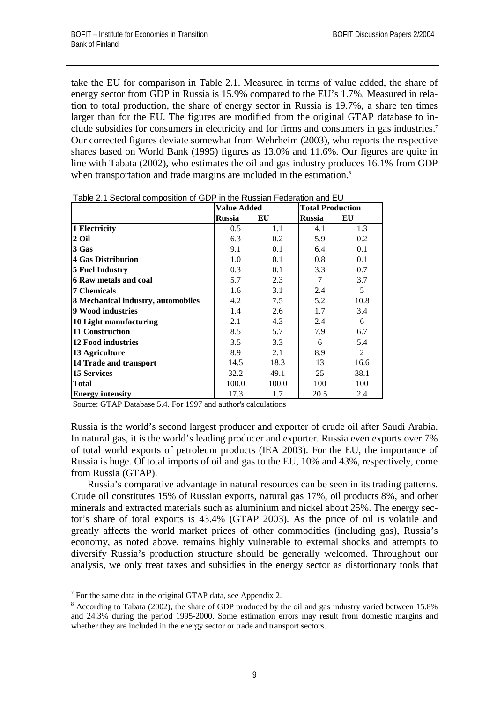take the EU for comparison in Table 2.1. Measured in terms of value added, the share of energy sector from GDP in Russia is 15.9% compared to the EU's 1.7%. Measured in relation to total production, the share of energy sector in Russia is 19.7%, a share ten times larger than for the EU. The figures are modified from the original GTAP database to include subsidies for consumers in electricity and for firms and consumers in gas industries.<sup>7</sup> Our corrected figures deviate somewhat from Wehrheim (2003), who reports the respective shares based on World Bank (1995) figures as 13.0% and 11.6%. Our figures are quite in line with Tabata (2002), who estimates the oil and gas industry produces 16.1% from GDP when transportation and trade margins are included in the estimation.<sup>8</sup>

|                                    | Value Added   |       | <b>Total Production</b> |                |
|------------------------------------|---------------|-------|-------------------------|----------------|
|                                    | <b>Russia</b> | EU    | <b>Russia</b>           | EU             |
| 1 Electricity                      | 0.5           | 1.1   | 4.1                     | 1.3            |
| 2 Oil                              | 6.3           | 0.2   | 5.9                     | 0.2            |
| 3 Gas                              | 9.1           | 0.1   | 6.4                     | 0.1            |
| <b>4 Gas Distribution</b>          | 1.0           | 0.1   | 0.8                     | 0.1            |
| <b>5 Fuel Industry</b>             | 0.3           | 0.1   | 3.3                     | 0.7            |
| <b>6 Raw metals and coal</b>       | 5.7           | 2.3   | 7                       | 3.7            |
| <b>7 Chemicals</b>                 | 1.6           | 3.1   | 2.4                     | 5              |
| 8 Mechanical industry, automobiles | 4.2           | 7.5   | 5.2                     | 10.8           |
| 9 Wood industries                  | 1.4           | 2.6   | 1.7                     | 3.4            |
| 10 Light manufacturing             | 2.1           | 4.3   | 2.4                     | 6              |
| <b>11 Construction</b>             | 8.5           | 5.7   | 7.9                     | 6.7            |
| <b>12 Food industries</b>          | 3.5           | 3.3   | 6                       | 5.4            |
| 13 Agriculture                     | 8.9           | 2.1   | 8.9                     | $\overline{2}$ |
| 14 Trade and transport             | 14.5          | 18.3  | 13                      | 16.6           |
| <b>15 Services</b>                 | 32.2          | 49.1  | 25                      | 38.1           |
| <b>Total</b>                       | 100.0         | 100.0 | 100                     | 100            |
| <b>Energy intensity</b>            | 17.3          | 1.7   | 20.5                    | 2.4            |

Table 2.1 Sectoral composition of GDP in the Russian Federation and EU

Source: GTAP Database 5.4. For 1997 and author's calculations

Russia is the world's second largest producer and exporter of crude oil after Saudi Arabia. In natural gas, it is the world's leading producer and exporter. Russia even exports over 7% of total world exports of petroleum products (IEA 2003). For the EU, the importance of Russia is huge. Of total imports of oil and gas to the EU, 10% and 43%, respectively, come from Russia (GTAP).

Russia's comparative advantage in natural resources can be seen in its trading patterns. Crude oil constitutes 15% of Russian exports, natural gas 17%, oil products 8%, and other minerals and extracted materials such as aluminium and nickel about 25%. The energy sector's share of total exports is 43.4% (GTAP 2003). As the price of oil is volatile and greatly affects the world market prices of other commodities (including gas), Russia's economy, as noted above, remains highly vulnerable to external shocks and attempts to diversify Russia's production structure should be generally welcomed. Throughout our analysis, we only treat taxes and subsidies in the energy sector as distortionary tools that

1

 $7$  For the same data in the original GTAP data, see Appendix 2.

<sup>&</sup>lt;sup>8</sup> According to Tabata (2002), the share of GDP produced by the oil and gas industry varied between 15.8% and 24.3% during the period 1995-2000. Some estimation errors may result from domestic margins and whether they are included in the energy sector or trade and transport sectors.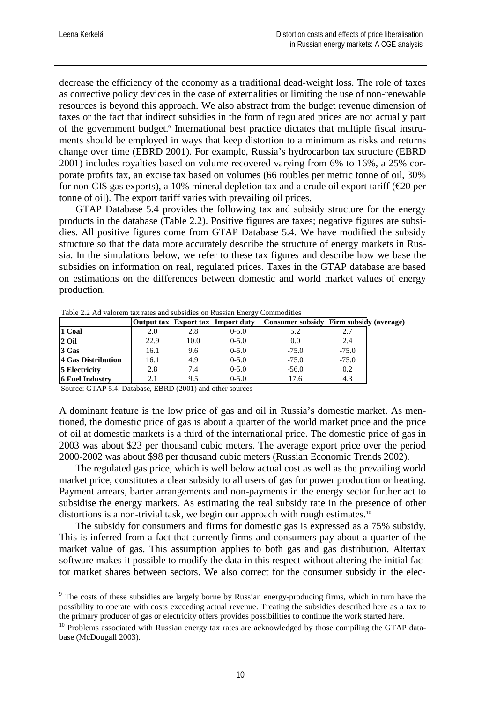1

decrease the efficiency of the economy as a traditional dead-weight loss. The role of taxes as corrective policy devices in the case of externalities or limiting the use of non-renewable resources is beyond this approach. We also abstract from the budget revenue dimension of taxes or the fact that indirect subsidies in the form of regulated prices are not actually part of the government budget.<sup>9</sup> International best practice dictates that multiple fiscal instruments should be employed in ways that keep distortion to a minimum as risks and returns change over time (EBRD 2001). For example, Russia's hydrocarbon tax structure (EBRD 2001) includes royalties based on volume recovered varying from 6% to 16%, a 25% corporate profits tax, an excise tax based on volumes (66 roubles per metric tonne of oil, 30% for non-CIS gas exports), a 10% mineral depletion tax and a crude oil export tariff ( $\epsilon$ 20 per tonne of oil). The export tariff varies with prevailing oil prices.

GTAP Database 5.4 provides the following tax and subsidy structure for the energy products in the database (Table 2.2). Positive figures are taxes; negative figures are subsidies. All positive figures come from GTAP Database 5.4. We have modified the subsidy structure so that the data more accurately describe the structure of energy markets in Russia. In the simulations below, we refer to these tax figures and describe how we base the subsidies on information on real, regulated prices. Taxes in the GTAP database are based on estimations on the differences between domestic and world market values of energy production.

|                        |      |      | Output tax Export tax Import duty | Consumer subsidy Firm subsidy (average) |         |  |
|------------------------|------|------|-----------------------------------|-----------------------------------------|---------|--|
| 1 Coal                 | 2.0  | 2.8  | $0 - 5.0$                         | 5.2                                     | 2.7     |  |
| $2$ Oil                | 22.9 | 10.0 | $0 - 5.0$                         | 0.0                                     | 2.4     |  |
| 3 Gas                  | 16.1 | 9.6  | $0 - 5.0$                         | $-75.0$                                 | $-75.0$ |  |
| 4 Gas Distribution     | 16.1 | 4.9  | $0 - 5.0$                         | $-75.0$                                 | $-75.0$ |  |
| <b>5 Electricity</b>   | 2.8  | 7.4  | $0 - 5.0$                         | $-56.0$                                 | 0.2     |  |
| <b>6 Fuel Industry</b> | 2.1  | 9.5  | $0 - 5.0$                         | 17.6                                    | 4.3     |  |

Table 2.2 Ad valorem tax rates and subsidies on Russian Energy Commodities

Source: GTAP 5.4. Database, EBRD (2001) and other sources

A dominant feature is the low price of gas and oil in Russia's domestic market. As mentioned, the domestic price of gas is about a quarter of the world market price and the price of oil at domestic markets is a third of the international price. The domestic price of gas in 2003 was about \$23 per thousand cubic meters. The average export price over the period 2000-2002 was about \$98 per thousand cubic meters (Russian Economic Trends 2002).

The regulated gas price, which is well below actual cost as well as the prevailing world market price, constitutes a clear subsidy to all users of gas for power production or heating. Payment arrears, barter arrangements and non-payments in the energy sector further act to subsidise the energy markets. As estimating the real subsidy rate in the presence of other distortions is a non-trivial task, we begin our approach with rough estimates.<sup>10</sup>

The subsidy for consumers and firms for domestic gas is expressed as a 75% subsidy. This is inferred from a fact that currently firms and consumers pay about a quarter of the market value of gas. This assumption applies to both gas and gas distribution. Altertax software makes it possible to modify the data in this respect without altering the initial factor market shares between sectors. We also correct for the consumer subsidy in the elec-

<sup>&</sup>lt;sup>9</sup> The costs of these subsidies are largely borne by Russian energy-producing firms, which in turn have the possibility to operate with costs exceeding actual revenue. Treating the subsidies described here as a tax to the primary producer of gas or electricity offers provides possibilities to continue the work started here.

 $10$  Problems associated with Russian energy tax rates are acknowledged by those compiling the GTAP database (McDougall 2003).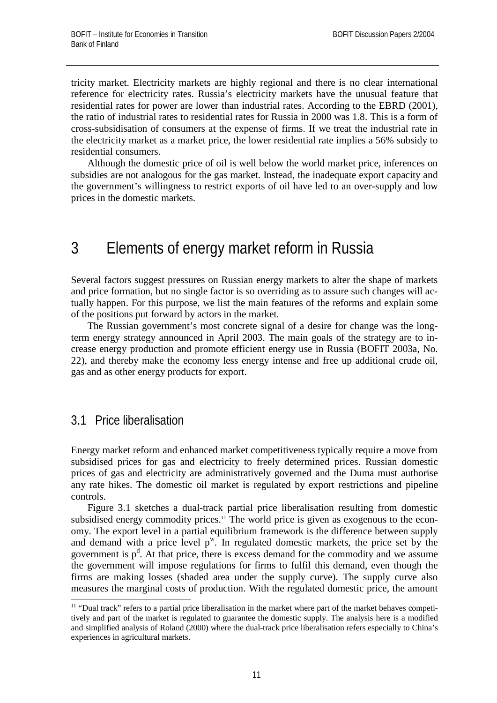tricity market. Electricity markets are highly regional and there is no clear international reference for electricity rates. Russia's electricity markets have the unusual feature that residential rates for power are lower than industrial rates. According to the EBRD (2001), the ratio of industrial rates to residential rates for Russia in 2000 was 1.8. This is a form of cross-subsidisation of consumers at the expense of firms. If we treat the industrial rate in the electricity market as a market price, the lower residential rate implies a 56% subsidy to residential consumers.

Although the domestic price of oil is well below the world market price, inferences on subsidies are not analogous for the gas market. Instead, the inadequate export capacity and the government's willingness to restrict exports of oil have led to an over-supply and low prices in the domestic markets.

### 3 Elements of energy market reform in Russia

Several factors suggest pressures on Russian energy markets to alter the shape of markets and price formation, but no single factor is so overriding as to assure such changes will actually happen. For this purpose, we list the main features of the reforms and explain some of the positions put forward by actors in the market.

The Russian government's most concrete signal of a desire for change was the longterm energy strategy announced in April 2003. The main goals of the strategy are to increase energy production and promote efficient energy use in Russia (BOFIT 2003a, No. 22), and thereby make the economy less energy intense and free up additional crude oil, gas and as other energy products for export.

#### 3.1 Price liberalisation

Energy market reform and enhanced market competitiveness typically require a move from subsidised prices for gas and electricity to freely determined prices. Russian domestic prices of gas and electricity are administratively governed and the Duma must authorise any rate hikes. The domestic oil market is regulated by export restrictions and pipeline controls.

Figure 3.1 sketches a dual-track partial price liberalisation resulting from domestic subsidised energy commodity prices.<sup>11</sup> The world price is given as exogenous to the economy. The export level in a partial equilibrium framework is the difference between supply and demand with a price level  $p^w$ . In regulated domestic markets, the price set by the government is  $p^d$ . At that price, there is excess demand for the commodity and we assume the government will impose regulations for firms to fulfil this demand, even though the firms are making losses (shaded area under the supply curve). The supply curve also measures the marginal costs of production. With the regulated domestic price, the amount 1

<sup>&</sup>lt;sup>11</sup> "Dual track" refers to a partial price liberalisation in the market where part of the market behaves competitively and part of the market is regulated to guarantee the domestic supply. The analysis here is a modified and simplified analysis of Roland (2000) where the dual-track price liberalisation refers especially to China's experiences in agricultural markets.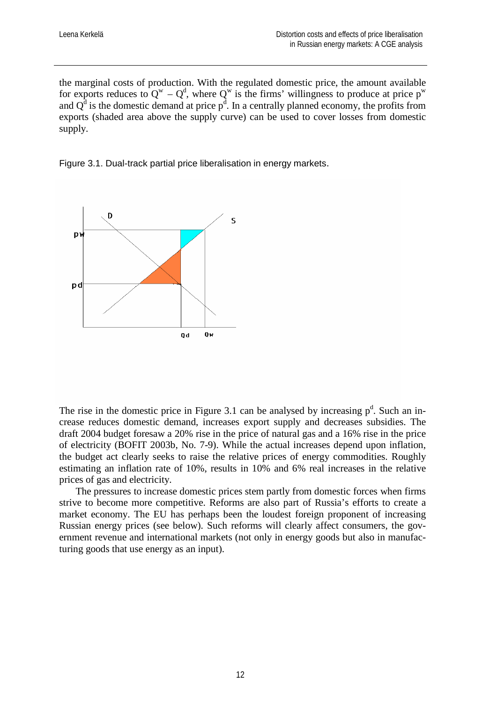the marginal costs of production. With the regulated domestic price, the amount available for exports reduces to  $Q^w - Q^d$ , where  $Q^w$  is the firms' willingness to produce at price  $p^w$ and  $Q<sup>d</sup>$  is the domestic demand at price  $p<sup>d</sup>$ . In a centrally planned economy, the profits from exports (shaded area above the supply curve) can be used to cover losses from domestic supply.

Figure 3.1. Dual-track partial price liberalisation in energy markets.



The rise in the domestic price in Figure 3.1 can be analysed by increasing  $p<sup>d</sup>$ . Such an increase reduces domestic demand, increases export supply and decreases subsidies. The draft 2004 budget foresaw a 20% rise in the price of natural gas and a 16% rise in the price of electricity (BOFIT 2003b, No. 7-9). While the actual increases depend upon inflation, the budget act clearly seeks to raise the relative prices of energy commodities. Roughly estimating an inflation rate of 10%, results in 10% and 6% real increases in the relative prices of gas and electricity.

The pressures to increase domestic prices stem partly from domestic forces when firms strive to become more competitive. Reforms are also part of Russia's efforts to create a market economy. The EU has perhaps been the loudest foreign proponent of increasing Russian energy prices (see below). Such reforms will clearly affect consumers, the government revenue and international markets (not only in energy goods but also in manufacturing goods that use energy as an input).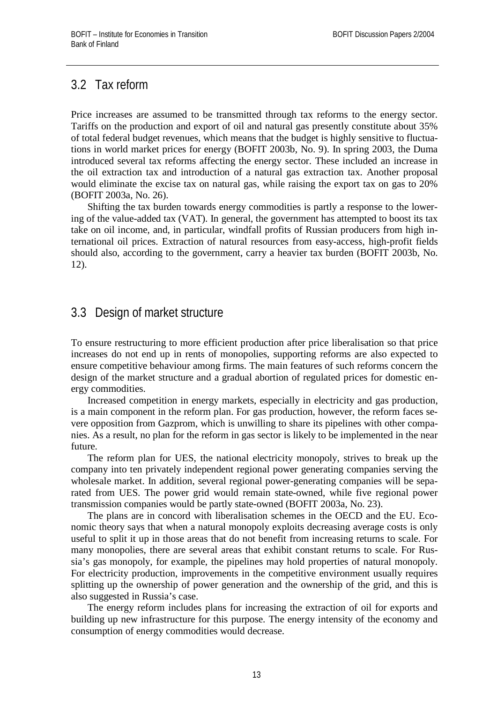### 3.2 Tax reform

Price increases are assumed to be transmitted through tax reforms to the energy sector. Tariffs on the production and export of oil and natural gas presently constitute about 35% of total federal budget revenues, which means that the budget is highly sensitive to fluctuations in world market prices for energy (BOFIT 2003b, No. 9). In spring 2003, the Duma introduced several tax reforms affecting the energy sector. These included an increase in the oil extraction tax and introduction of a natural gas extraction tax. Another proposal would eliminate the excise tax on natural gas, while raising the export tax on gas to 20% (BOFIT 2003a, No. 26).

Shifting the tax burden towards energy commodities is partly a response to the lowering of the value-added tax (VAT). In general, the government has attempted to boost its tax take on oil income, and, in particular, windfall profits of Russian producers from high international oil prices. Extraction of natural resources from easy-access, high-profit fields should also, according to the government, carry a heavier tax burden (BOFIT 2003b, No. 12).

### 3.3 Design of market structure

To ensure restructuring to more efficient production after price liberalisation so that price increases do not end up in rents of monopolies, supporting reforms are also expected to ensure competitive behaviour among firms. The main features of such reforms concern the design of the market structure and a gradual abortion of regulated prices for domestic energy commodities.

Increased competition in energy markets, especially in electricity and gas production, is a main component in the reform plan. For gas production, however, the reform faces severe opposition from Gazprom, which is unwilling to share its pipelines with other companies. As a result, no plan for the reform in gas sector is likely to be implemented in the near future.

The reform plan for UES, the national electricity monopoly, strives to break up the company into ten privately independent regional power generating companies serving the wholesale market. In addition, several regional power-generating companies will be separated from UES. The power grid would remain state-owned, while five regional power transmission companies would be partly state-owned (BOFIT 2003a, No. 23).

The plans are in concord with liberalisation schemes in the OECD and the EU. Economic theory says that when a natural monopoly exploits decreasing average costs is only useful to split it up in those areas that do not benefit from increasing returns to scale. For many monopolies, there are several areas that exhibit constant returns to scale. For Russia's gas monopoly, for example, the pipelines may hold properties of natural monopoly. For electricity production, improvements in the competitive environment usually requires splitting up the ownership of power generation and the ownership of the grid, and this is also suggested in Russia's case.

The energy reform includes plans for increasing the extraction of oil for exports and building up new infrastructure for this purpose. The energy intensity of the economy and consumption of energy commodities would decrease.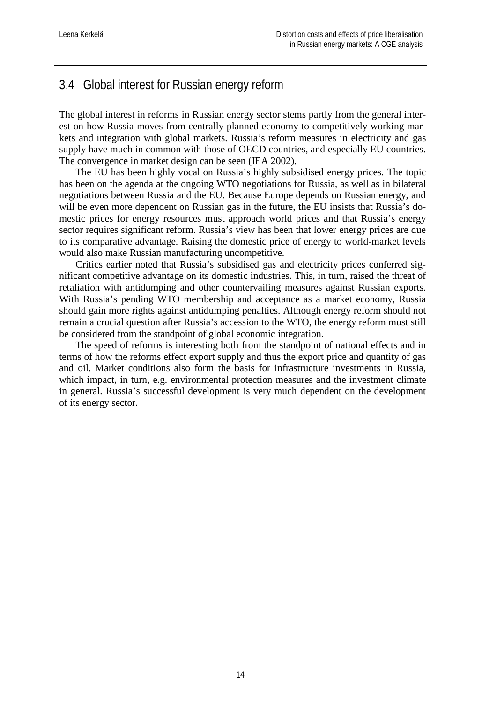### 3.4 Global interest for Russian energy reform

The global interest in reforms in Russian energy sector stems partly from the general interest on how Russia moves from centrally planned economy to competitively working markets and integration with global markets. Russia's reform measures in electricity and gas supply have much in common with those of OECD countries, and especially EU countries. The convergence in market design can be seen (IEA 2002).

The EU has been highly vocal on Russia's highly subsidised energy prices. The topic has been on the agenda at the ongoing WTO negotiations for Russia, as well as in bilateral negotiations between Russia and the EU. Because Europe depends on Russian energy, and will be even more dependent on Russian gas in the future, the EU insists that Russia's domestic prices for energy resources must approach world prices and that Russia's energy sector requires significant reform. Russia's view has been that lower energy prices are due to its comparative advantage. Raising the domestic price of energy to world-market levels would also make Russian manufacturing uncompetitive.

Critics earlier noted that Russia's subsidised gas and electricity prices conferred significant competitive advantage on its domestic industries. This, in turn, raised the threat of retaliation with antidumping and other countervailing measures against Russian exports. With Russia's pending WTO membership and acceptance as a market economy, Russia should gain more rights against antidumping penalties. Although energy reform should not remain a crucial question after Russia's accession to the WTO, the energy reform must still be considered from the standpoint of global economic integration.

The speed of reforms is interesting both from the standpoint of national effects and in terms of how the reforms effect export supply and thus the export price and quantity of gas and oil. Market conditions also form the basis for infrastructure investments in Russia, which impact, in turn, e.g. environmental protection measures and the investment climate in general. Russia's successful development is very much dependent on the development of its energy sector.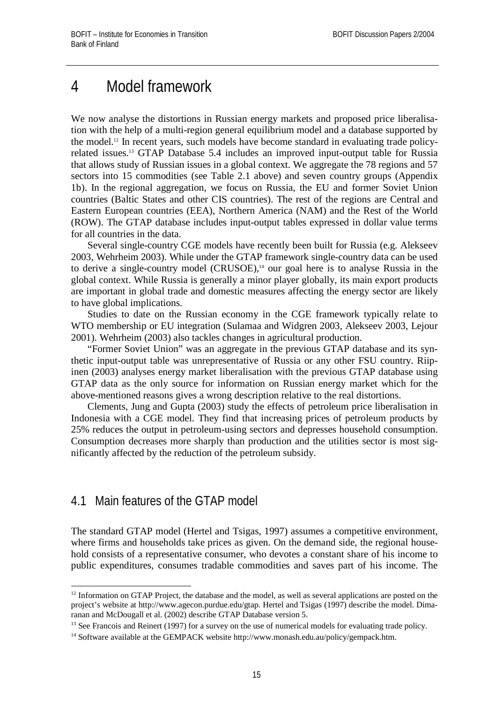## 4 Model framework

We now analyse the distortions in Russian energy markets and proposed price liberalisation with the help of a multi-region general equilibrium model and a database supported by the model.12 In recent years, such models have become standard in evaluating trade policyrelated issues.13 GTAP Database 5.4 includes an improved input-output table for Russia that allows study of Russian issues in a global context. We aggregate the 78 regions and 57 sectors into 15 commodities (see Table 2.1 above) and seven country groups (Appendix 1b). In the regional aggregation, we focus on Russia, the EU and former Soviet Union countries (Baltic States and other CIS countries). The rest of the regions are Central and Eastern European countries (EEA), Northern America (NAM) and the Rest of the World (ROW). The GTAP database includes input-output tables expressed in dollar value terms for all countries in the data.

Several single-country CGE models have recently been built for Russia (e.g. Alekseev 2003, Wehrheim 2003). While under the GTAP framework single-country data can be used to derive a single-country model (CRUSOE),<sup>14</sup> our goal here is to analyse Russia in the global context. While Russia is generally a minor player globally, its main export products are important in global trade and domestic measures affecting the energy sector are likely to have global implications.

Studies to date on the Russian economy in the CGE framework typically relate to WTO membership or EU integration (Sulamaa and Widgren 2003, Alekseev 2003, Lejour 2001). Wehrheim (2003) also tackles changes in agricultural production.

"Former Soviet Union" was an aggregate in the previous GTAP database and its synthetic input-output table was unrepresentative of Russia or any other FSU country. Riipinen (2003) analyses energy market liberalisation with the previous GTAP database using GTAP data as the only source for information on Russian energy market which for the above-mentioned reasons gives a wrong description relative to the real distortions.

Clements, Jung and Gupta (2003) study the effects of petroleum price liberalisation in Indonesia with a CGE model. They find that increasing prices of petroleum products by 25% reduces the output in petroleum-using sectors and depresses household consumption. Consumption decreases more sharply than production and the utilities sector is most significantly affected by the reduction of the petroleum subsidy.

### 4.1 Main features of the GTAP model

1

The standard GTAP model (Hertel and Tsigas, 1997) assumes a competitive environment, where firms and households take prices as given. On the demand side, the regional household consists of a representative consumer, who devotes a constant share of his income to public expenditures, consumes tradable commodities and saves part of his income. The

<sup>&</sup>lt;sup>12</sup> Information on GTAP Project, the database and the model, as well as several applications are posted on the project's website at http://www.agecon.purdue.edu/gtap. Hertel and Tsigas (1997) describe the model. Dimaranan and McDougall et al. (2002) describe GTAP Database version 5.

<sup>&</sup>lt;sup>13</sup> See Francois and Reinert (1997) for a survey on the use of numerical models for evaluating trade policy.

<sup>&</sup>lt;sup>14</sup> Software available at the GEMPACK website http://www.monash.edu.au/policy/gempack.htm.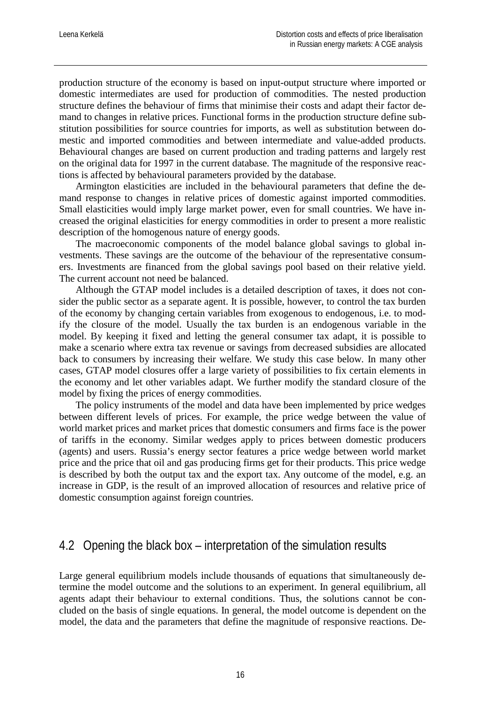production structure of the economy is based on input-output structure where imported or domestic intermediates are used for production of commodities. The nested production structure defines the behaviour of firms that minimise their costs and adapt their factor demand to changes in relative prices. Functional forms in the production structure define substitution possibilities for source countries for imports, as well as substitution between domestic and imported commodities and between intermediate and value-added products. Behavioural changes are based on current production and trading patterns and largely rest on the original data for 1997 in the current database. The magnitude of the responsive reactions is affected by behavioural parameters provided by the database.

Armington elasticities are included in the behavioural parameters that define the demand response to changes in relative prices of domestic against imported commodities. Small elasticities would imply large market power, even for small countries. We have increased the original elasticities for energy commodities in order to present a more realistic description of the homogenous nature of energy goods.

The macroeconomic components of the model balance global savings to global investments. These savings are the outcome of the behaviour of the representative consumers. Investments are financed from the global savings pool based on their relative yield. The current account not need be balanced.

Although the GTAP model includes is a detailed description of taxes, it does not consider the public sector as a separate agent. It is possible, however, to control the tax burden of the economy by changing certain variables from exogenous to endogenous, i.e. to modify the closure of the model. Usually the tax burden is an endogenous variable in the model. By keeping it fixed and letting the general consumer tax adapt, it is possible to make a scenario where extra tax revenue or savings from decreased subsidies are allocated back to consumers by increasing their welfare. We study this case below. In many other cases, GTAP model closures offer a large variety of possibilities to fix certain elements in the economy and let other variables adapt. We further modify the standard closure of the model by fixing the prices of energy commodities.

The policy instruments of the model and data have been implemented by price wedges between different levels of prices. For example, the price wedge between the value of world market prices and market prices that domestic consumers and firms face is the power of tariffs in the economy. Similar wedges apply to prices between domestic producers (agents) and users. Russia's energy sector features a price wedge between world market price and the price that oil and gas producing firms get for their products. This price wedge is described by both the output tax and the export tax. Any outcome of the model, e.g. an increase in GDP, is the result of an improved allocation of resources and relative price of domestic consumption against foreign countries.

#### 4.2 Opening the black box – interpretation of the simulation results

Large general equilibrium models include thousands of equations that simultaneously determine the model outcome and the solutions to an experiment. In general equilibrium, all agents adapt their behaviour to external conditions. Thus, the solutions cannot be concluded on the basis of single equations. In general, the model outcome is dependent on the model, the data and the parameters that define the magnitude of responsive reactions. De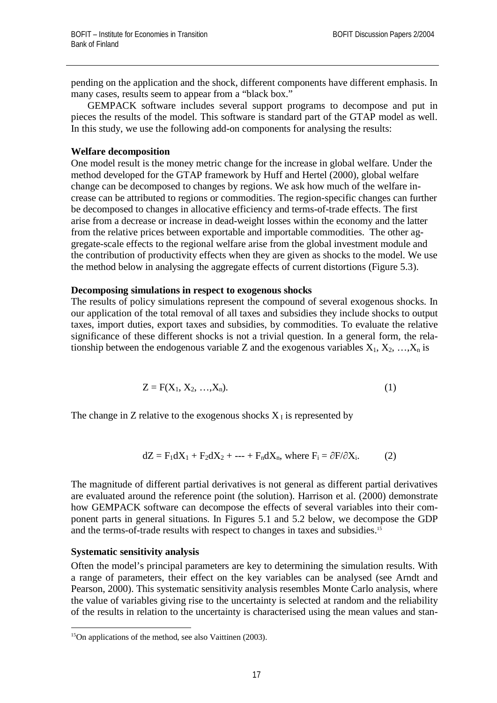pending on the application and the shock, different components have different emphasis. In many cases, results seem to appear from a "black box."

GEMPACK software includes several support programs to decompose and put in pieces the results of the model. This software is standard part of the GTAP model as well. In this study, we use the following add-on components for analysing the results:

#### **Welfare decomposition**

One model result is the money metric change for the increase in global welfare. Under the method developed for the GTAP framework by Huff and Hertel (2000), global welfare change can be decomposed to changes by regions. We ask how much of the welfare increase can be attributed to regions or commodities. The region-specific changes can further be decomposed to changes in allocative efficiency and terms-of-trade effects. The first arise from a decrease or increase in dead-weight losses within the economy and the latter from the relative prices between exportable and importable commodities. The other aggregate-scale effects to the regional welfare arise from the global investment module and the contribution of productivity effects when they are given as shocks to the model. We use the method below in analysing the aggregate effects of current distortions (Figure 5.3).

#### **Decomposing simulations in respect to exogenous shocks**

The results of policy simulations represent the compound of several exogenous shocks. In our application of the total removal of all taxes and subsidies they include shocks to output taxes, import duties, export taxes and subsidies, by commodities. To evaluate the relative significance of these different shocks is not a trivial question. In a general form, the relationship between the endogenous variable Z and the exogenous variables  $X_1, X_2, ..., X_n$  is

$$
Z = F(X_1, X_2, ..., X_n).
$$
 (1)

The change in Z relative to the exogenous shocks  $X<sub>I</sub>$  is represented by

$$
dZ = F_1 dX_1 + F_2 dX_2 + \dots + F_n dX_n, \text{ where } F_i = \partial F / \partial X_i. \tag{2}
$$

The magnitude of different partial derivatives is not general as different partial derivatives are evaluated around the reference point (the solution). Harrison et al. (2000) demonstrate how GEMPACK software can decompose the effects of several variables into their component parts in general situations. In Figures 5.1 and 5.2 below, we decompose the GDP and the terms-of-trade results with respect to changes in taxes and subsidies.15

#### **Systematic sensitivity analysis**

Often the model's principal parameters are key to determining the simulation results. With a range of parameters, their effect on the key variables can be analysed (see Arndt and Pearson, 2000). This systematic sensitivity analysis resembles Monte Carlo analysis, where the value of variables giving rise to the uncertainty is selected at random and the reliability of the results in relation to the uncertainty is characterised using the mean values and stan-

<sup>1</sup> <sup>15</sup>On applications of the method, see also Vaittinen (2003).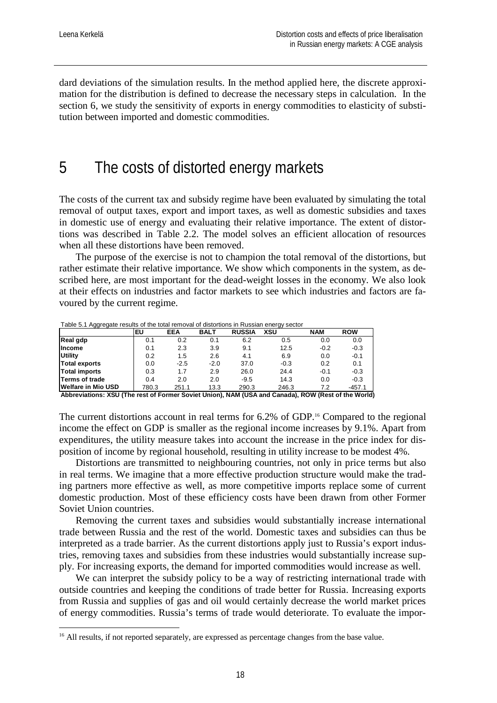1

dard deviations of the simulation results. In the method applied here, the discrete approximation for the distribution is defined to decrease the necessary steps in calculation. In the section 6, we study the sensitivity of exports in energy commodities to elasticity of substitution between imported and domestic commodities.

### 5 The costs of distorted energy markets

The costs of the current tax and subsidy regime have been evaluated by simulating the total removal of output taxes, export and import taxes, as well as domestic subsidies and taxes in domestic use of energy and evaluating their relative importance. The extent of distortions was described in Table 2.2. The model solves an efficient allocation of resources when all these distortions have been removed.

The purpose of the exercise is not to champion the total removal of the distortions, but rather estimate their relative importance. We show which components in the system, as described here, are most important for the dead-weight losses in the economy. We also look at their effects on industries and factor markets to see which industries and factors are favoured by the current regime.

Table 5.1 Aggregate results of the total removal of distortions in Russian energy sector

| Real gdp<br>6.2<br>0.2<br>0.0<br>0.1<br>0.1<br>0.5<br><b>Income</b><br>$-0.2$<br>2.3<br>3.9<br>9.1<br>12.5<br>0.1<br><b>Utility</b><br>0.2<br>4.1<br>0.0<br>1.5<br>2.6<br>6.9<br>Total exports<br>37.0<br>0.2<br>0.0<br>$-2.5$<br>$-2.0$<br>$-0.3$<br>0.1 | EU<br><b>EEA</b> | <b>BALT</b> | <b>RUSSIA</b> | XSU  | <b>NAM</b> | <b>ROW</b> |
|-----------------------------------------------------------------------------------------------------------------------------------------------------------------------------------------------------------------------------------------------------------|------------------|-------------|---------------|------|------------|------------|
|                                                                                                                                                                                                                                                           |                  |             |               |      |            | 0.0        |
|                                                                                                                                                                                                                                                           |                  |             |               |      |            | $-0.3$     |
|                                                                                                                                                                                                                                                           |                  |             |               |      |            | $-0.1$     |
|                                                                                                                                                                                                                                                           |                  |             |               |      |            |            |
| Total imports                                                                                                                                                                                                                                             | 0.3<br>1.7       | 2.9         | 26.0          | 24.4 | $-0.1$     | $-0.3$     |
| <b>Terms of trade</b><br>14.3<br>$-9.5$<br>0.0<br>0.4<br>2.0<br>2.0                                                                                                                                                                                       |                  |             |               |      |            | $-0.3$     |
| Welfare in Mio USD<br>780.3<br>251.1<br>290.3<br>246.3<br>13.3<br>7.2                                                                                                                                                                                     |                  |             |               |      |            | $-457.1$   |

**Abbreviations: XSU (The rest of Former Soviet Union), NAM (USA and Canada), ROW (Rest of the World)**

The current distortions account in real terms for 6.2% of GDP.<sup>16</sup> Compared to the regional income the effect on GDP is smaller as the regional income increases by 9.1%. Apart from expenditures, the utility measure takes into account the increase in the price index for disposition of income by regional household, resulting in utility increase to be modest 4%.

Distortions are transmitted to neighbouring countries, not only in price terms but also in real terms. We imagine that a more effective production structure would make the trading partners more effective as well, as more competitive imports replace some of current domestic production. Most of these efficiency costs have been drawn from other Former Soviet Union countries.

Removing the current taxes and subsidies would substantially increase international trade between Russia and the rest of the world. Domestic taxes and subsidies can thus be interpreted as a trade barrier. As the current distortions apply just to Russia's export industries, removing taxes and subsidies from these industries would substantially increase supply. For increasing exports, the demand for imported commodities would increase as well.

We can interpret the subsidy policy to be a way of restricting international trade with outside countries and keeping the conditions of trade better for Russia. Increasing exports from Russia and supplies of gas and oil would certainly decrease the world market prices of energy commodities. Russia's terms of trade would deteriorate. To evaluate the impor-

 $16$  All results, if not reported separately, are expressed as percentage changes from the base value.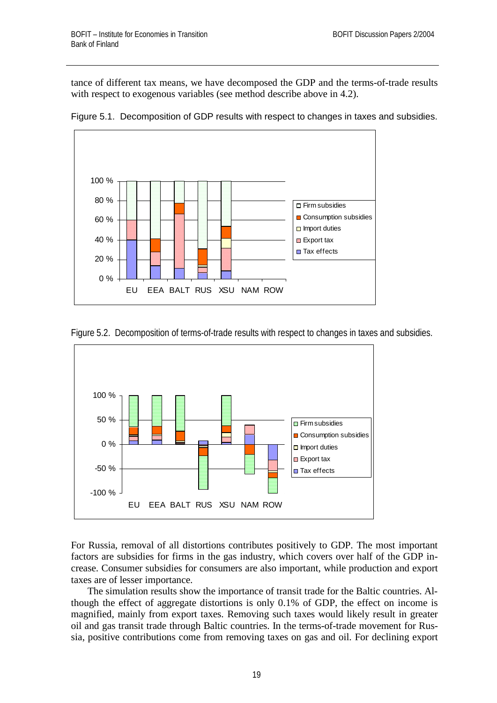tance of different tax means, we have decomposed the GDP and the terms-of-trade results with respect to exogenous variables (see method describe above in 4.2).



Figure 5.1. Decomposition of GDP results with respect to changes in taxes and subsidies.





For Russia, removal of all distortions contributes positively to GDP. The most important factors are subsidies for firms in the gas industry, which covers over half of the GDP increase. Consumer subsidies for consumers are also important, while production and export taxes are of lesser importance.

The simulation results show the importance of transit trade for the Baltic countries. Although the effect of aggregate distortions is only 0.1% of GDP, the effect on income is magnified, mainly from export taxes. Removing such taxes would likely result in greater oil and gas transit trade through Baltic countries. In the terms-of-trade movement for Russia, positive contributions come from removing taxes on gas and oil. For declining export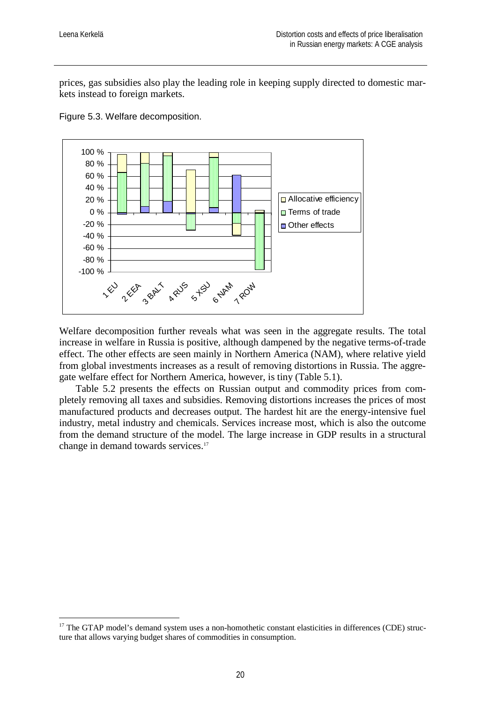1

prices, gas subsidies also play the leading role in keeping supply directed to domestic markets instead to foreign markets.



Figure 5.3. Welfare decomposition.

Welfare decomposition further reveals what was seen in the aggregate results. The total increase in welfare in Russia is positive, although dampened by the negative terms-of-trade effect. The other effects are seen mainly in Northern America (NAM), where relative yield from global investments increases as a result of removing distortions in Russia. The aggregate welfare effect for Northern America, however, is tiny (Table 5.1).

Table 5.2 presents the effects on Russian output and commodity prices from completely removing all taxes and subsidies. Removing distortions increases the prices of most manufactured products and decreases output. The hardest hit are the energy-intensive fuel industry, metal industry and chemicals. Services increase most, which is also the outcome from the demand structure of the model. The large increase in GDP results in a structural change in demand towards services.<sup>17</sup>

<sup>&</sup>lt;sup>17</sup> The GTAP model's demand system uses a non-homothetic constant elasticities in differences (CDE) structure that allows varying budget shares of commodities in consumption.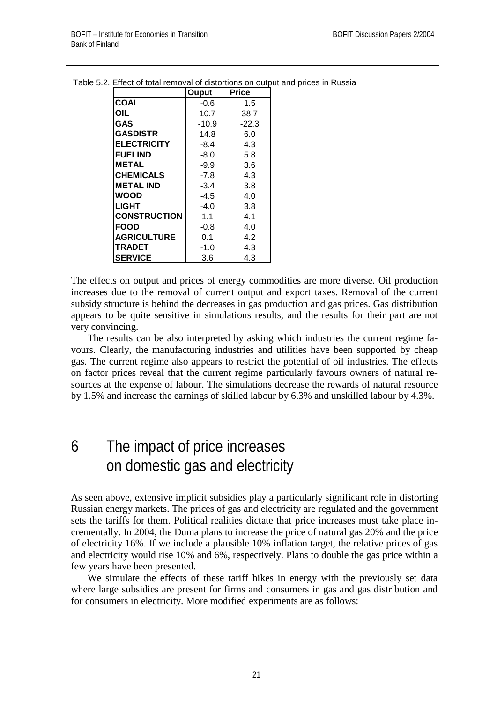|                     | Ouput  | Price   |
|---------------------|--------|---------|
| <b>COAL</b>         | -0.6   | 1.5     |
| OIL                 | 10.7   | 38.7    |
| GAS                 | -10.9  | $-22.3$ |
| <b>GASDISTR</b>     | 14.8   | 6.0     |
| <b>ELECTRICITY</b>  | -8.4   | 4.3     |
| <b>FUELIND</b>      | $-8.0$ | 5.8     |
| <b>METAL</b>        | $-9.9$ | 3.6     |
| <b>CHEMICALS</b>    | $-7.8$ | 4.3     |
| <b>METAL IND</b>    | $-3.4$ | 3.8     |
| WOOD                | $-4.5$ | 4.0     |
| <b>LIGHT</b>        | $-4.0$ | 3.8     |
| <b>CONSTRUCTION</b> | 1.1    | 4.1     |
| <b>FOOD</b>         | $-0.8$ | 4.0     |
| <b>AGRICULTURE</b>  | 0.1    | 4.2     |
| TRADET              | $-1.0$ | 4.3     |
| <b>SERVICE</b>      | 3.6    | 4.3     |

Table 5.2. Effect of total removal of distortions on output and prices in Russia

The effects on output and prices of energy commodities are more diverse. Oil production increases due to the removal of current output and export taxes. Removal of the current subsidy structure is behind the decreases in gas production and gas prices. Gas distribution appears to be quite sensitive in simulations results, and the results for their part are not very convincing.

The results can be also interpreted by asking which industries the current regime favours. Clearly, the manufacturing industries and utilities have been supported by cheap gas. The current regime also appears to restrict the potential of oil industries. The effects on factor prices reveal that the current regime particularly favours owners of natural resources at the expense of labour. The simulations decrease the rewards of natural resource by 1.5% and increase the earnings of skilled labour by 6.3% and unskilled labour by 4.3%.

## 6 The impact of price increases on domestic gas and electricity

As seen above, extensive implicit subsidies play a particularly significant role in distorting Russian energy markets. The prices of gas and electricity are regulated and the government sets the tariffs for them. Political realities dictate that price increases must take place incrementally. In 2004, the Duma plans to increase the price of natural gas 20% and the price of electricity 16%. If we include a plausible 10% inflation target, the relative prices of gas and electricity would rise 10% and 6%, respectively. Plans to double the gas price within a few years have been presented.

We simulate the effects of these tariff hikes in energy with the previously set data where large subsidies are present for firms and consumers in gas and gas distribution and for consumers in electricity. More modified experiments are as follows: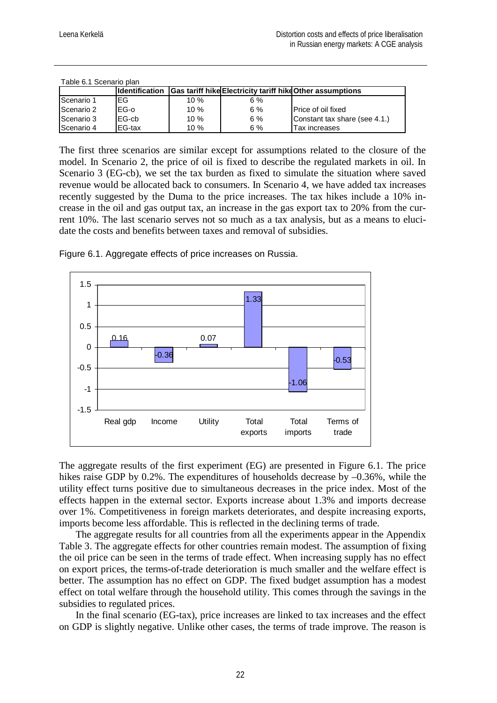| Table 0.1 Occhard blan |                        |        |                                                                  |                               |  |  |  |  |  |
|------------------------|------------------------|--------|------------------------------------------------------------------|-------------------------------|--|--|--|--|--|
|                        | <b>Ildentification</b> |        | <b>Gas tariff hike Electricity tariff hike Other assumptions</b> |                               |  |  |  |  |  |
| Scenario 1             | EG                     | $10\%$ | 6%                                                               |                               |  |  |  |  |  |
| Scenario 2             | EG-o                   | 10%    | 6 %                                                              | IPrice of oil fixed           |  |  |  |  |  |
| Scenario 3             | EG-cb                  | 10%    | 6%                                                               | Constant tax share (see 4.1.) |  |  |  |  |  |
| Scenario 4             | EG-tax                 | 10%    | 6%                                                               | Tax increases                 |  |  |  |  |  |

Table 6.1 Scenario plan

The first three scenarios are similar except for assumptions related to the closure of the model. In Scenario 2, the price of oil is fixed to describe the regulated markets in oil. In Scenario 3 (EG-cb), we set the tax burden as fixed to simulate the situation where saved revenue would be allocated back to consumers. In Scenario 4, we have added tax increases recently suggested by the Duma to the price increases. The tax hikes include a 10% increase in the oil and gas output tax, an increase in the gas export tax to 20% from the current 10%. The last scenario serves not so much as a tax analysis, but as a means to elucidate the costs and benefits between taxes and removal of subsidies.



Figure 6.1. Aggregate effects of price increases on Russia.

The aggregate results of the first experiment (EG) are presented in Figure 6.1. The price hikes raise GDP by 0.2%. The expenditures of households decrease by  $-0.36\%$ , while the utility effect turns positive due to simultaneous decreases in the price index. Most of the effects happen in the external sector. Exports increase about 1.3% and imports decrease over 1%. Competitiveness in foreign markets deteriorates, and despite increasing exports, imports become less affordable. This is reflected in the declining terms of trade.

The aggregate results for all countries from all the experiments appear in the Appendix Table 3. The aggregate effects for other countries remain modest. The assumption of fixing the oil price can be seen in the terms of trade effect. When increasing supply has no effect on export prices, the terms-of-trade deterioration is much smaller and the welfare effect is better. The assumption has no effect on GDP. The fixed budget assumption has a modest effect on total welfare through the household utility. This comes through the savings in the subsidies to regulated prices.

In the final scenario (EG-tax), price increases are linked to tax increases and the effect on GDP is slightly negative. Unlike other cases, the terms of trade improve. The reason is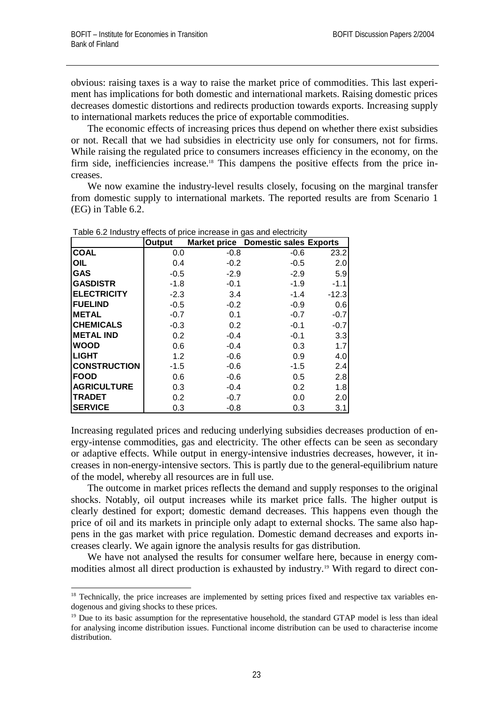1

obvious: raising taxes is a way to raise the market price of commodities. This last experiment has implications for both domestic and international markets. Raising domestic prices decreases domestic distortions and redirects production towards exports. Increasing supply to international markets reduces the price of exportable commodities.

The economic effects of increasing prices thus depend on whether there exist subsidies or not. Recall that we had subsidies in electricity use only for consumers, not for firms. While raising the regulated price to consumers increases efficiency in the economy, on the firm side, inefficiencies increase.<sup>18</sup> This dampens the positive effects from the price increases.

We now examine the industry-level results closely, focusing on the marginal transfer from domestic supply to international markets. The reported results are from Scenario 1 (EG) in Table 6.2.

|                     | Output |        | <b>Market price Domestic sales Exports</b> |         |
|---------------------|--------|--------|--------------------------------------------|---------|
| <b>COAL</b>         | 0.0    | $-0.8$ | $-0.6$                                     | 23.2    |
| OIL                 | 0.4    | $-0.2$ | $-0.5$                                     | 2.0     |
| <b>GAS</b>          | $-0.5$ | $-2.9$ | $-2.9$                                     | 5.9     |
| <b>GASDISTR</b>     | $-1.8$ | $-0.1$ | $-1.9$                                     | $-1.1$  |
| <b>ELECTRICITY</b>  | $-2.3$ | 3.4    | $-1.4$                                     | $-12.3$ |
| <b>FUELIND</b>      | $-0.5$ | $-0.2$ | $-0.9$                                     | 0.6     |
| <b>METAL</b>        | $-0.7$ | 0.1    | $-0.7$                                     | $-0.7$  |
| <b>CHEMICALS</b>    | $-0.3$ | 0.2    | $-0.1$                                     | $-0.7$  |
| <b>METAL IND</b>    | 0.2    | $-0.4$ | $-0.1$                                     | 3.3     |
| <b>WOOD</b>         | 0.6    | $-0.4$ | 0.3                                        | 1.7     |
| <b>LIGHT</b>        | 1.2    | $-0.6$ | 0.9                                        | 4.0     |
| <b>CONSTRUCTION</b> | $-1.5$ | $-0.6$ | $-1.5$                                     | 2.4     |
| <b>FOOD</b>         | 0.6    | $-0.6$ | 0.5                                        | 2.8     |
| <b>AGRICULTURE</b>  | 0.3    | $-0.4$ | 0.2                                        | 1.8     |
| <b>TRADET</b>       | 0.2    | $-0.7$ | 0.0                                        | 2.0     |
| <b>SERVICE</b>      | 0.3    | $-0.8$ | 0.3                                        | 3.1     |

Table 6.2 Industry effects of price increase in gas and electricity

Increasing regulated prices and reducing underlying subsidies decreases production of energy-intense commodities, gas and electricity. The other effects can be seen as secondary or adaptive effects. While output in energy-intensive industries decreases, however, it increases in non-energy-intensive sectors. This is partly due to the general-equilibrium nature of the model, whereby all resources are in full use.

The outcome in market prices reflects the demand and supply responses to the original shocks. Notably, oil output increases while its market price falls. The higher output is clearly destined for export; domestic demand decreases. This happens even though the price of oil and its markets in principle only adapt to external shocks. The same also happens in the gas market with price regulation. Domestic demand decreases and exports increases clearly. We again ignore the analysis results for gas distribution.

We have not analysed the results for consumer welfare here, because in energy commodities almost all direct production is exhausted by industry.<sup>19</sup> With regard to direct con-

<sup>&</sup>lt;sup>18</sup> Technically, the price increases are implemented by setting prices fixed and respective tax variables endogenous and giving shocks to these prices.

<sup>&</sup>lt;sup>19</sup> Due to its basic assumption for the representative household, the standard GTAP model is less than ideal for analysing income distribution issues. Functional income distribution can be used to characterise income distribution.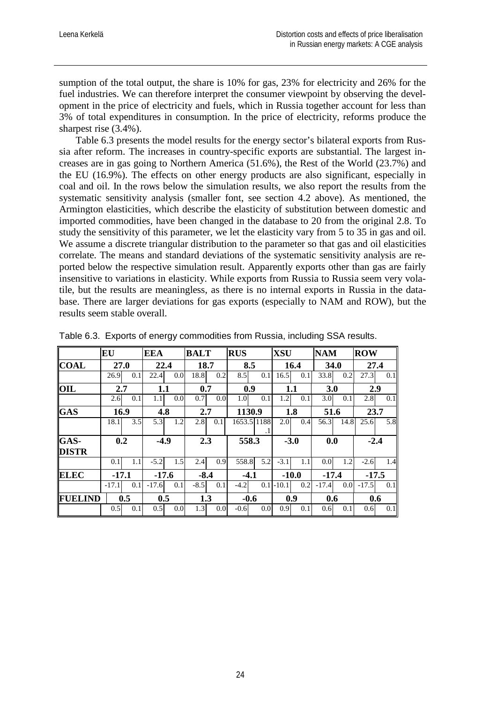sumption of the total output, the share is 10% for gas, 23% for electricity and 26% for the fuel industries. We can therefore interpret the consumer viewpoint by observing the development in the price of electricity and fuels, which in Russia together account for less than 3% of total expenditures in consumption. In the price of electricity, reforms produce the sharpest rise (3.4%).

Table 6.3 presents the model results for the energy sector's bilateral exports from Russia after reform. The increases in country-specific exports are substantial. The largest increases are in gas going to Northern America (51.6%), the Rest of the World (23.7%) and the EU (16.9%). The effects on other energy products are also significant, especially in coal and oil. In the rows below the simulation results, we also report the results from the systematic sensitivity analysis (smaller font, see section 4.2 above). As mentioned, the Armington elasticities, which describe the elasticity of substitution between domestic and imported commodities, have been changed in the database to 20 from the original 2.8. To study the sensitivity of this parameter, we let the elasticity vary from 5 to 35 in gas and oil. We assume a discrete triangular distribution to the parameter so that gas and oil elasticities correlate. The means and standard deviations of the systematic sensitivity analysis are reported below the respective simulation result. Apparently exports other than gas are fairly insensitive to variations in elasticity. While exports from Russia to Russia seem very volatile, but the results are meaningless, as there is no internal exports in Russia in the database. There are larger deviations for gas exports (especially to NAM and ROW), but the results seem stable overall.

|                      | EU      |     | <b>EEA</b> |     | <b>BALT</b> |                  | <b>RUS</b> |                  | <b>XSU</b>  |         | <b>NAM</b> |      | <b>ROW</b> |     |
|----------------------|---------|-----|------------|-----|-------------|------------------|------------|------------------|-------------|---------|------------|------|------------|-----|
| <b>COAL</b>          | 27.0    |     | 22.4       |     | 18.7        |                  | 8.5        |                  | 16.4        |         | 34.0       |      | 27.4       |     |
|                      | 26.9    | 0.1 | 22.4       | 0.0 | 18.8        | 0.2              | 8.5        | 0.1              | 16.5        | 0.1     | 33.8       | 0.2  | 27.3       | 0.1 |
| OIL                  | 2.7     |     | 1.1        |     | 0.7         |                  |            | 0.9              |             | 1.1     | 3.0        |      | 2.9        |     |
|                      | 2.6     | 0.1 | 1.1        | 0.0 | 0.7         | 0.0 <sub>l</sub> | 1.0        | 0.1              | 1.2         | 0.1     | 3.0        | 0.1  | 2.8        | 0.1 |
| <b>GAS</b>           | 16.9    |     | 4.8<br>2.7 |     | 1130.9      |                  | 1.8        |                  | 51.6        |         | 23.7       |      |            |     |
|                      | 18.1    | 3.5 | 5.3        | 1.2 | 2.8         | 0.1              |            | 1653.5 1188      | 2.0         | 0.4     | 56.3       | 14.8 | 25.6       | 5.8 |
| GAS-<br><b>DISTR</b> | 0.2     |     | $-4.9$     |     | 2.3         |                  |            | 558.3            |             | $-3.0$  | 0.0        |      | $-2.4$     |     |
|                      | 0.1     | 1.1 | $-5.2$     | 1.5 | 2.4         | 0.9              | 558.8      | 5.2              | $-3.1$      | 1.1     | 0.0        | 1.2  | $-2.6$     | 1.4 |
| <b>ELEC</b>          | $-17.1$ |     | $-17.6$    |     | $-8.4$      |                  |            | $-4.1$           |             | $-10.0$ | $-17.4$    |      | $-17.5$    |     |
|                      | $-17.1$ | 0.1 | $-17.6$    | 0.1 | $-8.5$      | 0.1              | $-4.2$     |                  | $0.1$ -10.1 | 0.2     | $-17.4$    | 0.0  | $-17.5$    | 0.1 |
| <b>FUELIND</b>       |         | 0.5 | 0.5        |     | 1.3         |                  |            | $-0.6$           |             | 0.9     | 0.6        |      | 0.6        |     |
|                      | 0.5     | 0.1 | 0.5        | 0.0 | 1.3         | 0.0              | $-0.6$     | 0.0 <sub>l</sub> | 0.9         | 0.1     | 0.6        | 0.1  | 0.6        | 0.1 |

Table 6.3. Exports of energy commodities from Russia, including SSA results.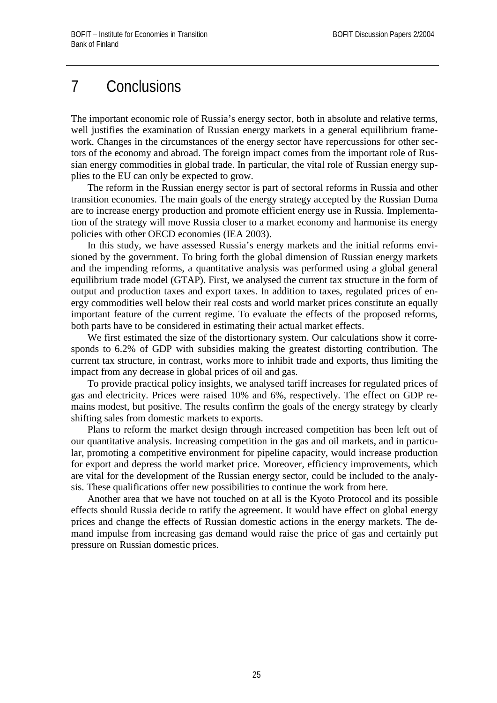## 7 Conclusions

The important economic role of Russia's energy sector, both in absolute and relative terms, well justifies the examination of Russian energy markets in a general equilibrium framework. Changes in the circumstances of the energy sector have repercussions for other sectors of the economy and abroad. The foreign impact comes from the important role of Russian energy commodities in global trade. In particular, the vital role of Russian energy supplies to the EU can only be expected to grow.

The reform in the Russian energy sector is part of sectoral reforms in Russia and other transition economies. The main goals of the energy strategy accepted by the Russian Duma are to increase energy production and promote efficient energy use in Russia. Implementation of the strategy will move Russia closer to a market economy and harmonise its energy policies with other OECD economies (IEA 2003).

In this study, we have assessed Russia's energy markets and the initial reforms envisioned by the government. To bring forth the global dimension of Russian energy markets and the impending reforms, a quantitative analysis was performed using a global general equilibrium trade model (GTAP). First, we analysed the current tax structure in the form of output and production taxes and export taxes. In addition to taxes, regulated prices of energy commodities well below their real costs and world market prices constitute an equally important feature of the current regime. To evaluate the effects of the proposed reforms, both parts have to be considered in estimating their actual market effects.

We first estimated the size of the distortionary system. Our calculations show it corresponds to 6.2% of GDP with subsidies making the greatest distorting contribution. The current tax structure, in contrast, works more to inhibit trade and exports, thus limiting the impact from any decrease in global prices of oil and gas.

To provide practical policy insights, we analysed tariff increases for regulated prices of gas and electricity. Prices were raised 10% and 6%, respectively. The effect on GDP remains modest, but positive. The results confirm the goals of the energy strategy by clearly shifting sales from domestic markets to exports.

Plans to reform the market design through increased competition has been left out of our quantitative analysis. Increasing competition in the gas and oil markets, and in particular, promoting a competitive environment for pipeline capacity, would increase production for export and depress the world market price. Moreover, efficiency improvements, which are vital for the development of the Russian energy sector, could be included to the analysis. These qualifications offer new possibilities to continue the work from here.

Another area that we have not touched on at all is the Kyoto Protocol and its possible effects should Russia decide to ratify the agreement. It would have effect on global energy prices and change the effects of Russian domestic actions in the energy markets. The demand impulse from increasing gas demand would raise the price of gas and certainly put pressure on Russian domestic prices.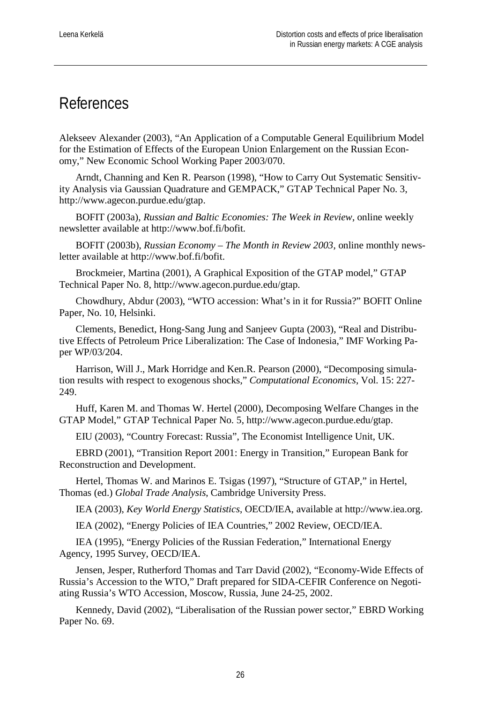### References

Alekseev Alexander (2003), "An Application of a Computable General Equilibrium Model for the Estimation of Effects of the European Union Enlargement on the Russian Economy," New Economic School Working Paper 2003/070.

Arndt, Channing and Ken R. Pearson (1998), "How to Carry Out Systematic Sensitivity Analysis via Gaussian Quadrature and GEMPACK," GTAP Technical Paper No. 3, http://www.agecon.purdue.edu/gtap.

BOFIT (2003a), *Russian and Baltic Economies: The Week in Review*, online weekly newsletter available at http://www.bof.fi/bofit.

BOFIT (2003b), *Russian Economy – The Month in Review 2003*, online monthly newsletter available at http://www.bof.fi/bofit.

Brockmeier, Martina (2001), A Graphical Exposition of the GTAP model," GTAP Technical Paper No. 8, http://www.agecon.purdue.edu/gtap.

Chowdhury, Abdur (2003), "WTO accession: What's in it for Russia?" BOFIT Online Paper, No. 10, Helsinki.

Clements, Benedict, Hong-Sang Jung and Sanjeev Gupta (2003), "Real and Distributive Effects of Petroleum Price Liberalization: The Case of Indonesia," IMF Working Paper WP/03/204.

Harrison, Will J., Mark Horridge and Ken.R. Pearson (2000), "Decomposing simulation results with respect to exogenous shocks," *Computational Economics*, Vol. 15: 227- 249.

Huff, Karen M. and Thomas W. Hertel (2000), Decomposing Welfare Changes in the GTAP Model," GTAP Technical Paper No. 5, http://www.agecon.purdue.edu/gtap.

EIU (2003), "Country Forecast: Russia", The Economist Intelligence Unit, UK.

EBRD (2001), "Transition Report 2001: Energy in Transition," European Bank for Reconstruction and Development.

Hertel, Thomas W. and Marinos E. Tsigas (1997), "Structure of GTAP," in Hertel, Thomas (ed.) *Global Trade Analysis*, Cambridge University Press.

IEA (2003), *Key World Energy Statistics*, OECD/IEA, available at http://www.iea.org.

IEA (2002), "Energy Policies of IEA Countries," 2002 Review, OECD/IEA.

IEA (1995), "Energy Policies of the Russian Federation," International Energy Agency, 1995 Survey, OECD/IEA.

Jensen, Jesper, Rutherford Thomas and Tarr David (2002), "Economy-Wide Effects of Russia's Accession to the WTO," Draft prepared for SIDA-CEFIR Conference on Negotiating Russia's WTO Accession, Moscow, Russia, June 24-25, 2002.

Kennedy, David (2002), "Liberalisation of the Russian power sector," EBRD Working Paper No. 69.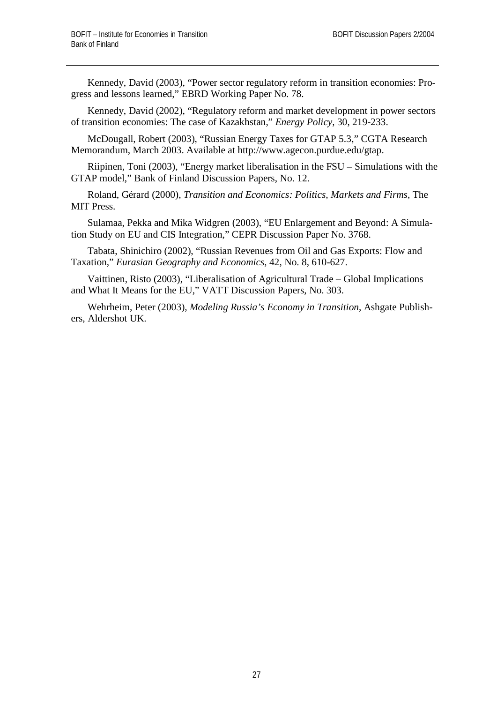Kennedy, David (2003), "Power sector regulatory reform in transition economies: Progress and lessons learned," EBRD Working Paper No. 78.

Kennedy, David (2002), "Regulatory reform and market development in power sectors of transition economies: The case of Kazakhstan," *Energy Policy*, 30, 219-233.

McDougall, Robert (2003), "Russian Energy Taxes for GTAP 5.3," CGTA Research Memorandum, March 2003. Available at http://www.agecon.purdue.edu/gtap.

Riipinen, Toni (2003), "Energy market liberalisation in the FSU – Simulations with the GTAP model," Bank of Finland Discussion Papers, No. 12.

Roland, Gérard (2000), *Transition and Economics: Politics, Markets and Firms*, The MIT Press.

Sulamaa, Pekka and Mika Widgren (2003), "EU Enlargement and Beyond: A Simulation Study on EU and CIS Integration," CEPR Discussion Paper No. 3768.

Tabata, Shinichiro (2002), "Russian Revenues from Oil and Gas Exports: Flow and Taxation," *Eurasian Geography and Economics*, 42, No. 8, 610-627.

Vaittinen, Risto (2003), "Liberalisation of Agricultural Trade – Global Implications and What It Means for the EU," VATT Discussion Papers, No. 303.

Wehrheim, Peter (2003), *Modeling Russia's Economy in Transition*, Ashgate Publishers, Aldershot UK.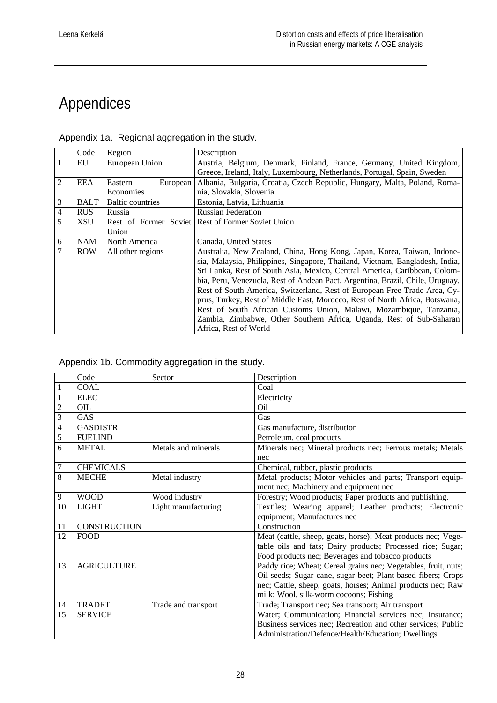# Appendices

|                | Code        | Region                  | Description                                                                   |
|----------------|-------------|-------------------------|-------------------------------------------------------------------------------|
|                | EU          | European Union          | Austria, Belgium, Denmark, Finland, France, Germany, United Kingdom,          |
|                |             |                         | Greece, Ireland, Italy, Luxembourg, Netherlands, Portugal, Spain, Sweden      |
| $\overline{2}$ | EEA         | European<br>Eastern     | Albania, Bulgaria, Croatia, Czech Republic, Hungary, Malta, Poland, Roma-     |
|                |             | Economies               | nia, Slovakia, Slovenia                                                       |
| 3              | <b>BALT</b> | <b>Baltic countries</b> | Estonia, Latvia, Lithuania                                                    |
| 4              | <b>RUS</b>  | Russia                  | <b>Russian Federation</b>                                                     |
| 5              | XSU         |                         | Rest of Former Soviet Rest of Former Soviet Union                             |
|                |             | Union                   |                                                                               |
| 6              | <b>NAM</b>  | North America           | Canada, United States                                                         |
| 7              | <b>ROW</b>  | All other regions       | Australia, New Zealand, China, Hong Kong, Japan, Korea, Taiwan, Indone-       |
|                |             |                         | sia, Malaysia, Philippines, Singapore, Thailand, Vietnam, Bangladesh, India,  |
|                |             |                         | Sri Lanka, Rest of South Asia, Mexico, Central America, Caribbean, Colom-     |
|                |             |                         | bia, Peru, Venezuela, Rest of Andean Pact, Argentina, Brazil, Chile, Uruguay, |
|                |             |                         | Rest of South America, Switzerland, Rest of European Free Trade Area, Cy-     |
|                |             |                         | prus, Turkey, Rest of Middle East, Morocco, Rest of North Africa, Botswana,   |
|                |             |                         | Rest of South African Customs Union, Malawi, Mozambique, Tanzania,            |
|                |             |                         | Zambia, Zimbabwe, Other Southern Africa, Uganda, Rest of Sub-Saharan          |
|                |             |                         | Africa, Rest of World                                                         |

Appendix 1a. Regional aggregation in the study.

Appendix 1b. Commodity aggregation in the study.

|                          | Code                | Sector              | Description                                                    |
|--------------------------|---------------------|---------------------|----------------------------------------------------------------|
| 1                        | COAL                |                     | Coal                                                           |
| 1                        | <b>ELEC</b>         |                     | Electricity                                                    |
| $\overline{c}$           | OIL                 |                     | Oil                                                            |
| 3                        | GAS                 |                     | Gas                                                            |
| $\overline{\mathcal{L}}$ | <b>GASDISTR</b>     |                     | Gas manufacture, distribution                                  |
| 5                        | <b>FUELIND</b>      |                     | Petroleum, coal products                                       |
| 6                        | <b>METAL</b>        | Metals and minerals | Minerals nec; Mineral products nec; Ferrous metals; Metals     |
|                          |                     |                     | nec                                                            |
| $\tau$                   | <b>CHEMICALS</b>    |                     | Chemical, rubber, plastic products                             |
| 8                        | <b>MECHE</b>        | Metal industry      | Metal products; Motor vehicles and parts; Transport equip-     |
|                          |                     |                     | ment nec; Machinery and equipment nec                          |
| 9                        | <b>WOOD</b>         | Wood industry       | Forestry; Wood products; Paper products and publishing.        |
| 10                       | <b>LIGHT</b>        | Light manufacturing | Textiles; Wearing apparel; Leather products; Electronic        |
|                          |                     |                     | equipment; Manufactures nec                                    |
| 11                       | <b>CONSTRUCTION</b> |                     | Construction                                                   |
| 12                       | <b>FOOD</b>         |                     | Meat (cattle, sheep, goats, horse); Meat products nec; Vege-   |
|                          |                     |                     | table oils and fats; Dairy products; Processed rice; Sugar;    |
|                          |                     |                     | Food products nec; Beverages and tobacco products              |
| 13                       | <b>AGRICULTURE</b>  |                     | Paddy rice; Wheat; Cereal grains nec; Vegetables, fruit, nuts; |
|                          |                     |                     | Oil seeds; Sugar cane, sugar beet; Plant-based fibers; Crops   |
|                          |                     |                     | nec; Cattle, sheep, goats, horses; Animal products nec; Raw    |
|                          |                     |                     | milk; Wool, silk-worm cocoons; Fishing                         |
| 14                       | <b>TRADET</b>       | Trade and transport | Trade; Transport nec; Sea transport; Air transport             |
| 15                       | <b>SERVICE</b>      |                     | Water; Communication; Financial services nec; Insurance;       |
|                          |                     |                     | Business services nec; Recreation and other services; Public   |
|                          |                     |                     | Administration/Defence/Health/Education; Dwellings             |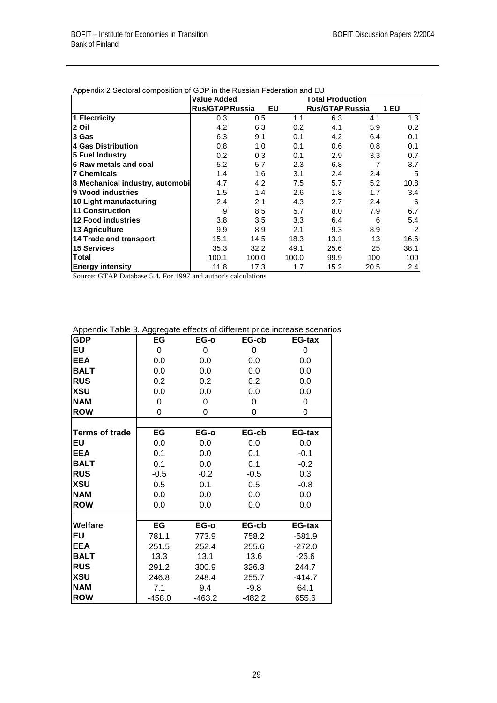|                                 | <b>Value Added</b>     |       |       | <b>Total Production</b> |      |                |
|---------------------------------|------------------------|-------|-------|-------------------------|------|----------------|
|                                 | <b>Rus/GTAP Russia</b> |       | EU    | <b>Rus/GTAP Russia</b>  |      | <b>1 EU</b>    |
| 1 Electricity                   | 0.3                    | 0.5   | 1.1   | 6.3                     | 4.1  | 1.3            |
| 2 Oil                           | 4.2                    | 6.3   | 0.2   | 4.1                     | 5.9  | 0.2            |
| 3 Gas                           | 6.3                    | 9.1   | 0.1   | 4.2                     | 6.4  | 0.1            |
| <b>4 Gas Distribution</b>       | 0.8                    | 1.0   | 0.1   | 0.6                     | 0.8  | 0.1            |
| 5 Fuel Industry                 | 0.2                    | 0.3   | 0.1   | 2.9                     | 3.3  | 0.7            |
| 6 Raw metals and coal           | 5.2                    | 5.7   | 2.3   | 6.8                     |      | 3.7            |
| <b>7 Chemicals</b>              | 1.4                    | 1.6   | 3.1   | 2.4                     | 2.4  | 5              |
| 8 Mechanical industry, automobi | 4.7                    | 4.2   | 7.5   | 5.7                     | 5.2  | 10.8           |
| 9 Wood industries               | 1.5                    | 1.4   | 2.6   | 1.8                     | 1.7  | 3.4            |
| 10 Light manufacturing          | 2.4                    | 2.1   | 4.3   | 2.7                     | 2.4  | 6              |
| <b>11 Construction</b>          | 9                      | 8.5   | 5.7   | 8.0                     | 7.9  | 6.7            |
| <b>12 Food industries</b>       | 3.8                    | 3.5   | 3.3   | 6.4                     | 6    | 5.4            |
| 13 Agriculture                  | 9.9                    | 8.9   | 2.1   | 9.3                     | 8.9  | $\overline{2}$ |
| 14 Trade and transport          | 15.1                   | 14.5  | 18.3  | 13.1                    | 13   | 16.6           |
| 15 Services                     | 35.3                   | 32.2  | 49.1  | 25.6                    | 25   | 38.1           |
| Total                           | 100.1                  | 100.0 | 100.0 | 99.9                    | 100  | 100            |
| <b>Energy intensity</b>         | 11.8                   | 17.3  | 1.7   | 15.2                    | 20.5 | 2.4            |

|  |  |  | Appendix 2 Sectoral composition of GDP in the Russian Federation and EU |  |  |  |  |  |  |  |
|--|--|--|-------------------------------------------------------------------------|--|--|--|--|--|--|--|
|--|--|--|-------------------------------------------------------------------------|--|--|--|--|--|--|--|

Source: GTAP Database 5.4. For 1997 and author's calculations

| Appendix Table 3. Aggregate effects of different price increase scenarios |
|---------------------------------------------------------------------------|
|---------------------------------------------------------------------------|

| <b>GDP</b>            | EG       | EG-o     | EG-cb    | EG-tax        |
|-----------------------|----------|----------|----------|---------------|
| EU                    | 0        | 0        | 0        | $\Omega$      |
| <b>EEA</b>            | 0.0      | 0.0      | 0.0      | 0.0           |
| <b>BALT</b>           | 0.0      | 0.0      | 0.0      | 0.0           |
| <b>RUS</b>            | 0.2      | 0.2      | 0.2      | 0.0           |
| <b>XSU</b>            | 0.0      | 0.0      | 0.0      | 0.0           |
| <b>NAM</b>            | 0        | 0        | 0        | 0             |
| <b>ROW</b>            | 0        | 0        | 0        | 0             |
|                       |          |          |          |               |
| <b>Terms of trade</b> | EG       | EG-o     | EG-cb    | <b>EG-tax</b> |
| EU                    | 0.0      | 0.0      | 0.0      | 0.0           |
| <b>EEA</b>            | 0.1      | 0.0      | 0.1      | $-0.1$        |
| <b>BALT</b>           | 0.1      | $0.0\,$  | 0.1      | $-0.2$        |
| <b>RUS</b>            | $-0.5$   | $-0.2$   | $-0.5$   | 0.3           |
| <b>XSU</b>            | 0.5      | 0.1      | 0.5      | $-0.8$        |
| <b>NAM</b>            | 0.0      | 0.0      | 0.0      | $0.0\,$       |
| <b>ROW</b>            | 0.0      | 0.0      | 0.0      | 0.0           |
|                       |          |          |          |               |
| <b>Welfare</b>        | EG       | EG-o     | EG-cb    | EG-tax        |
| EU                    | 781.1    | 773.9    | 758.2    | $-581.9$      |
| <b>EEA</b>            | 251.5    | 252.4    | 255.6    | $-272.0$      |
| <b>BALT</b>           | 13.3     | 13.1     | 13.6     | $-26.6$       |
| <b>RUS</b>            | 291.2    | 300.9    | 326.3    | 244.7         |
| <b>XSU</b>            | 246.8    | 248.4    | 255.7    | $-414.7$      |
| <b>NAM</b>            | 7.1      | 9.4      | $-9.8$   | 64.1          |
| <b>ROW</b>            | $-458.0$ | $-463.2$ | $-482.2$ | 655.6         |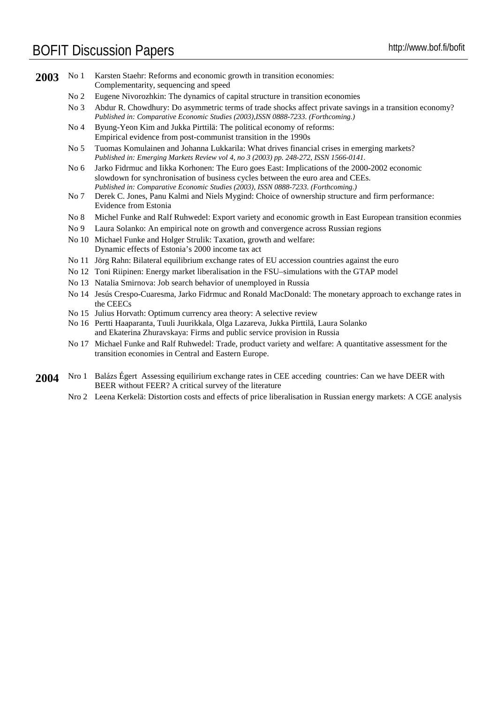### BOFIT Discussion Papers http://www.bof.fi/bofit

|  | 2003 No 1 Karsten Staehr: Reforms and economic growth in transition economies: |
|--|--------------------------------------------------------------------------------|
|  | Complementarity, sequencing and speed                                          |

- No 2 Eugene Nivorozhkin: The dynamics of capital structure in transition economies
- No 3 Abdur R. Chowdhury: Do asymmetric terms of trade shocks affect private savings in a transition economy? *Published in: Comparative Economic Studies (2003),ISSN 0888-7233. (Forthcoming.)*
- No 4 Byung-Yeon Kim and Jukka Pirttilä: The political economy of reforms: Empirical evidence from post-communist transition in the 1990s
- No 5 Tuomas Komulainen and Johanna Lukkarila: What drives financial crises in emerging markets? *Published in: Emerging Markets Review vol 4, no 3 (2003) pp. 248-272, ISSN 1566-0141.*
- No 6 Jarko Fidrmuc and Iikka Korhonen: The Euro goes East: Implications of the 2000-2002 economic slowdown for synchronisation of business cycles between the euro area and CEEs. *Published in: Comparative Economic Studies (2003), ISSN 0888-7233. (Forthcoming.)*
- No 7 Derek C. Jones, Panu Kalmi and Niels Mygind: Choice of ownership structure and firm performance: Evidence from Estonia
- No 8 Michel Funke and Ralf Ruhwedel: Export variety and economic growth in East European transition econmies
- No 9 Laura Solanko: An empirical note on growth and convergence across Russian regions
- No 10 Michael Funke and Holger Strulik: Taxation, growth and welfare: Dynamic effects of Estonia's 2000 income tax act
- No 11 Jörg Rahn: Bilateral equilibrium exchange rates of EU accession countries against the euro
- No 12 Toni Riipinen: Energy market liberalisation in the FSU–simulations with the GTAP model
- No 13 Natalia Smirnova: Job search behavior of unemployed in Russia
- No 14 Jesús Crespo-Cuaresma, Jarko Fidrmuc and Ronald MacDonald: The monetary approach to exchange rates in the CEECs
- No 15 Julius Horvath: Optimum currency area theory: A selective review
- No 16 Pertti Haaparanta, Tuuli Juurikkala, Olga Lazareva, Jukka Pirttilä, Laura Solanko and Ekaterina Zhuravskaya: Firms and public service provision in Russia
- No 17 Michael Funke and Ralf Ruhwedel: Trade, product variety and welfare: A quantitative assessment for the transition economies in Central and Eastern Europe.
- **2004** Nro 1 Balázs Égert Assessing equilirium exchange rates in CEE acceding countries: Can we have DEER with BEER without FEER? A critical survey of the literature
	- Nro 2 Leena Kerkelä: Distortion costs and effects of price liberalisation in Russian energy markets: A CGE analysis